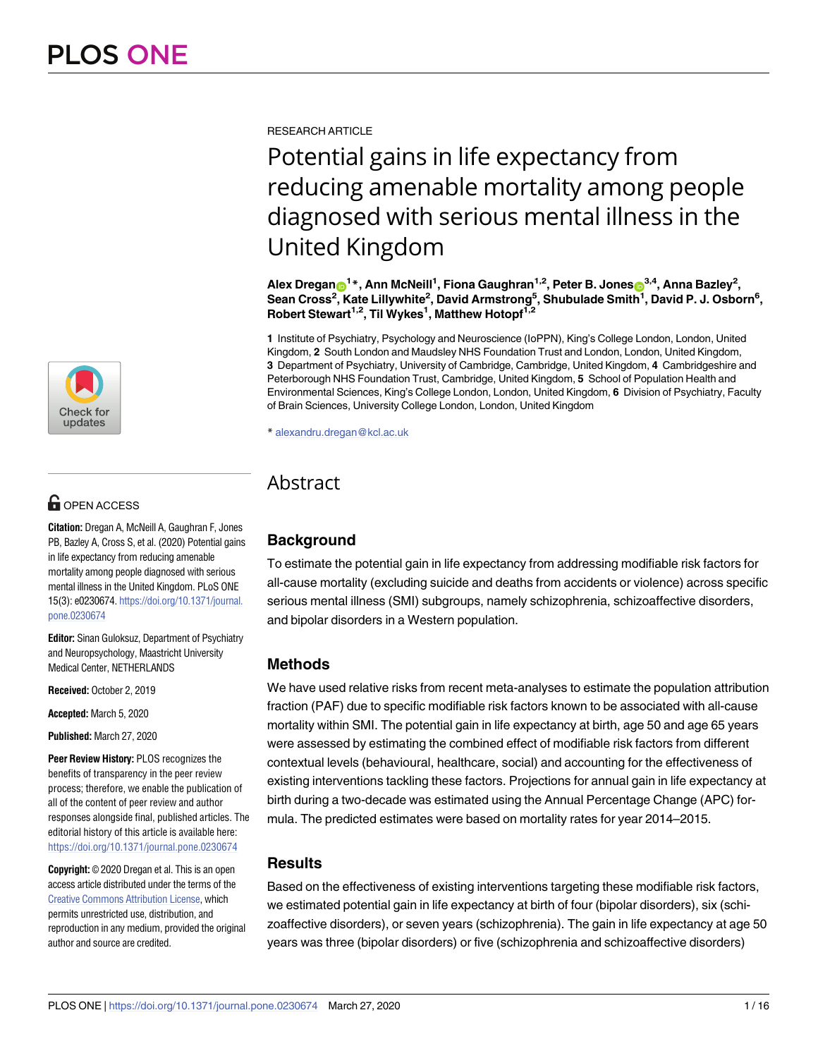

# $\blacksquare$  OPEN ACCESS

**Citation:** Dregan A, McNeill A, Gaughran F, Jones PB, Bazley A, Cross S, et al. (2020) Potential gains in life expectancy from reducing amenable mortality among people diagnosed with serious mental illness in the United Kingdom. PLoS ONE 15(3): e0230674. [https://doi.org/10.1371/journal.](https://doi.org/10.1371/journal.pone.0230674) [pone.0230674](https://doi.org/10.1371/journal.pone.0230674)

**Editor:** Sinan Guloksuz, Department of Psychiatry and Neuropsychology, Maastricht University Medical Center, NETHERLANDS

**Received:** October 2, 2019

**Accepted:** March 5, 2020

**Published:** March 27, 2020

**Peer Review History:** PLOS recognizes the benefits of transparency in the peer review process; therefore, we enable the publication of all of the content of peer review and author responses alongside final, published articles. The editorial history of this article is available here: <https://doi.org/10.1371/journal.pone.0230674>

**Copyright:** © 2020 Dregan et al. This is an open access article distributed under the terms of the Creative Commons [Attribution](http://creativecommons.org/licenses/by/4.0/) License, which permits unrestricted use, distribution, and reproduction in any medium, provided the original author and source are credited.

RESEARCH ARTICLE

# Potential gains in life expectancy from reducing amenable mortality among people diagnosed with serious mental illness in the United Kingdom

 $\mathbf{A}$ lex Dregan $\mathbf{D}^{1*}$ , Ann McNeill<sup>1</sup>, Fiona Gaughran<sup>1,2</sup>, Peter B. Jones $\mathbf{D}^{3,4}$ , Anna Bazley<sup>2</sup>, **Sean Cross2 , Kate Lillywhite2 , David Armstrong5 , Shubulade Smith1 , David P. J. Osborn6 , Robert Stewart1,2, Til Wykes1 , Matthew Hotopf1,2**

**1** Institute of Psychiatry, Psychology and Neuroscience (IoPPN), King's College London, London, United Kingdom, **2** South London and Maudsley NHS Foundation Trust and London, London, United Kingdom, **3** Department of Psychiatry, University of Cambridge, Cambridge, United Kingdom, **4** Cambridgeshire and Peterborough NHS Foundation Trust, Cambridge, United Kingdom, **5** School of Population Health and Environmental Sciences, King's College London, London, United Kingdom, **6** Division of Psychiatry, Faculty of Brain Sciences, University College London, London, United Kingdom

\* alexandru.dregan@kcl.ac.uk

# Abstract

# **Background**

To estimate the potential gain in life expectancy from addressing modifiable risk factors for all-cause mortality (excluding suicide and deaths from accidents or violence) across specific serious mental illness (SMI) subgroups, namely schizophrenia, schizoaffective disorders, and bipolar disorders in a Western population.

# **Methods**

We have used relative risks from recent meta-analyses to estimate the population attribution fraction (PAF) due to specific modifiable risk factors known to be associated with all-cause mortality within SMI. The potential gain in life expectancy at birth, age 50 and age 65 years were assessed by estimating the combined effect of modifiable risk factors from different contextual levels (behavioural, healthcare, social) and accounting for the effectiveness of existing interventions tackling these factors. Projections for annual gain in life expectancy at birth during a two-decade was estimated using the Annual Percentage Change (APC) formula. The predicted estimates were based on mortality rates for year 2014–2015.

# **Results**

Based on the effectiveness of existing interventions targeting these modifiable risk factors, we estimated potential gain in life expectancy at birth of four (bipolar disorders), six (schizoaffective disorders), or seven years (schizophrenia). The gain in life expectancy at age 50 years was three (bipolar disorders) or five (schizophrenia and schizoaffective disorders)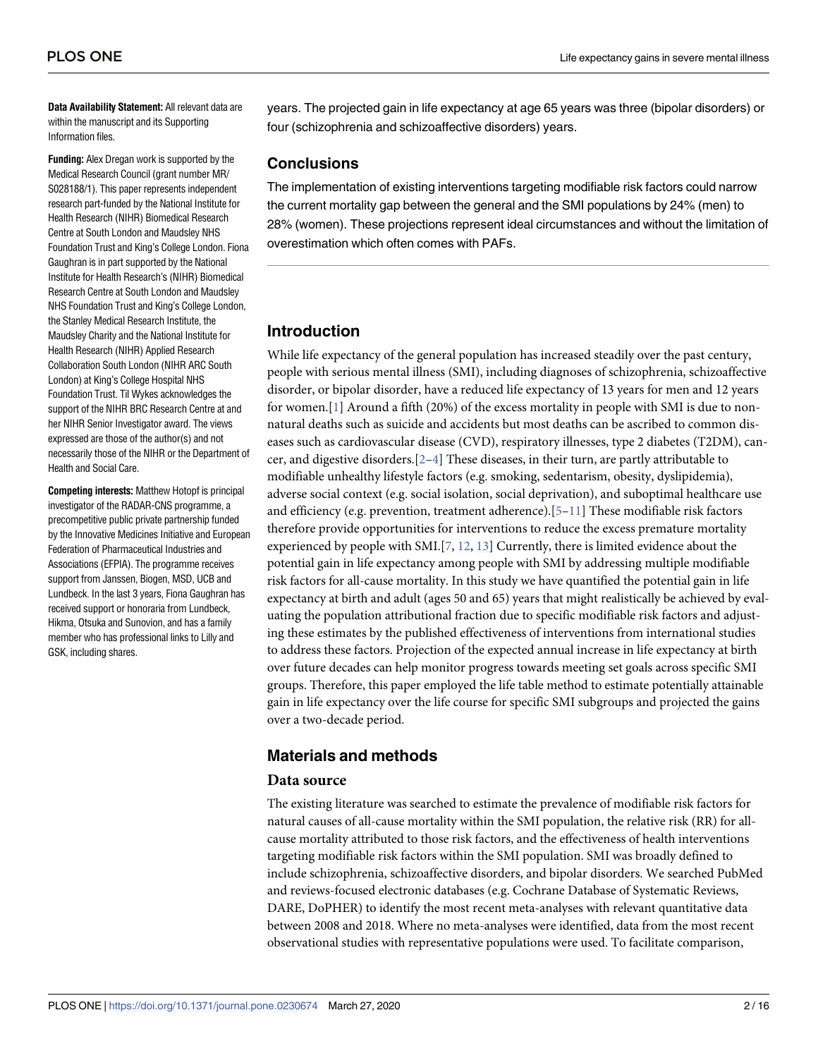<span id="page-1-0"></span>**Data Availability Statement:** All relevant data are within the manuscript and its Supporting Information files.

**Funding:** Alex Dregan work is supported by the Medical Research Council (grant number MR/ S028188/1). This paper represents independent research part-funded by the National Institute for Health Research (NIHR) Biomedical Research Centre at South London and Maudsley NHS Foundation Trust and King's College London. Fiona Gaughran is in part supported by the National Institute for Health Research's (NIHR) Biomedical Research Centre at South London and Maudsley NHS Foundation Trust and King's College London, the Stanley Medical Research Institute, the Maudsley Charity and the National Institute for Health Research (NIHR) Applied Research Collaboration South London (NIHR ARC South London) at King's College Hospital NHS Foundation Trust. Til Wykes acknowledges the support of the NIHR BRC Research Centre at and her NIHR Senior Investigator award. The views expressed are those of the author(s) and not necessarily those of the NIHR or the Department of Health and Social Care.

**Competing interests:** Matthew Hotopf is principal investigator of the RADAR-CNS programme, a precompetitive public private partnership funded by the Innovative Medicines Initiative and European Federation of Pharmaceutical Industries and Associations (EFPIA). The programme receives support from Janssen, Biogen, MSD, UCB and Lundbeck. In the last 3 years, Fiona Gaughran has received support or honoraria from Lundbeck, Hikma, Otsuka and Sunovion, and has a family member who has professional links to Lilly and GSK, including shares.

years. The projected gain in life expectancy at age 65 years was three (bipolar disorders) or four (schizophrenia and schizoaffective disorders) years.

#### **Conclusions**

The implementation of existing interventions targeting modifiable risk factors could narrow the current mortality gap between the general and the SMI populations by 24% (men) to 28% (women). These projections represent ideal circumstances and without the limitation of overestimation which often comes with PAFs.

## **Introduction**

While life expectancy of the general population has increased steadily over the past century, people with serious mental illness (SMI), including diagnoses of schizophrenia, schizoaffective disorder, or bipolar disorder, have a reduced life expectancy of 13 years for men and 12 years for women.[\[1](#page-11-0)] Around a fifth (20%) of the excess mortality in people with SMI is due to nonnatural deaths such as suicide and accidents but most deaths can be ascribed to common diseases such as cardiovascular disease (CVD), respiratory illnesses, type 2 diabetes (T2DM), cancer, and digestive disorders.[[2–4\]](#page-11-0) These diseases, in their turn, are partly attributable to modifiable unhealthy lifestyle factors (e.g. smoking, sedentarism, obesity, dyslipidemia), adverse social context (e.g. social isolation, social deprivation), and suboptimal healthcare use and efficiency (e.g. prevention, treatment adherence).[\[5–](#page-11-0)[11\]](#page-12-0) These modifiable risk factors therefore provide opportunities for interventions to reduce the excess premature mortality experienced by people with SMI.[\[7](#page-12-0), [12](#page-12-0), [13](#page-12-0)] Currently, there is limited evidence about the potential gain in life expectancy among people with SMI by addressing multiple modifiable risk factors for all-cause mortality. In this study we have quantified the potential gain in life expectancy at birth and adult (ages 50 and 65) years that might realistically be achieved by evaluating the population attributional fraction due to specific modifiable risk factors and adjusting these estimates by the published effectiveness of interventions from international studies to address these factors. Projection of the expected annual increase in life expectancy at birth over future decades can help monitor progress towards meeting set goals across specific SMI groups. Therefore, this paper employed the life table method to estimate potentially attainable gain in life expectancy over the life course for specific SMI subgroups and projected the gains over a two-decade period.

## **Materials and methods**

#### **Data source**

The existing literature was searched to estimate the prevalence of modifiable risk factors for natural causes of all-cause mortality within the SMI population, the relative risk (RR) for allcause mortality attributed to those risk factors, and the effectiveness of health interventions targeting modifiable risk factors within the SMI population. SMI was broadly defined to include schizophrenia, schizoaffective disorders, and bipolar disorders. We searched PubMed and reviews-focused electronic databases (e.g. Cochrane Database of Systematic Reviews, DARE, DoPHER) to identify the most recent meta-analyses with relevant quantitative data between 2008 and 2018. Where no meta-analyses were identified, data from the most recent observational studies with representative populations were used. To facilitate comparison,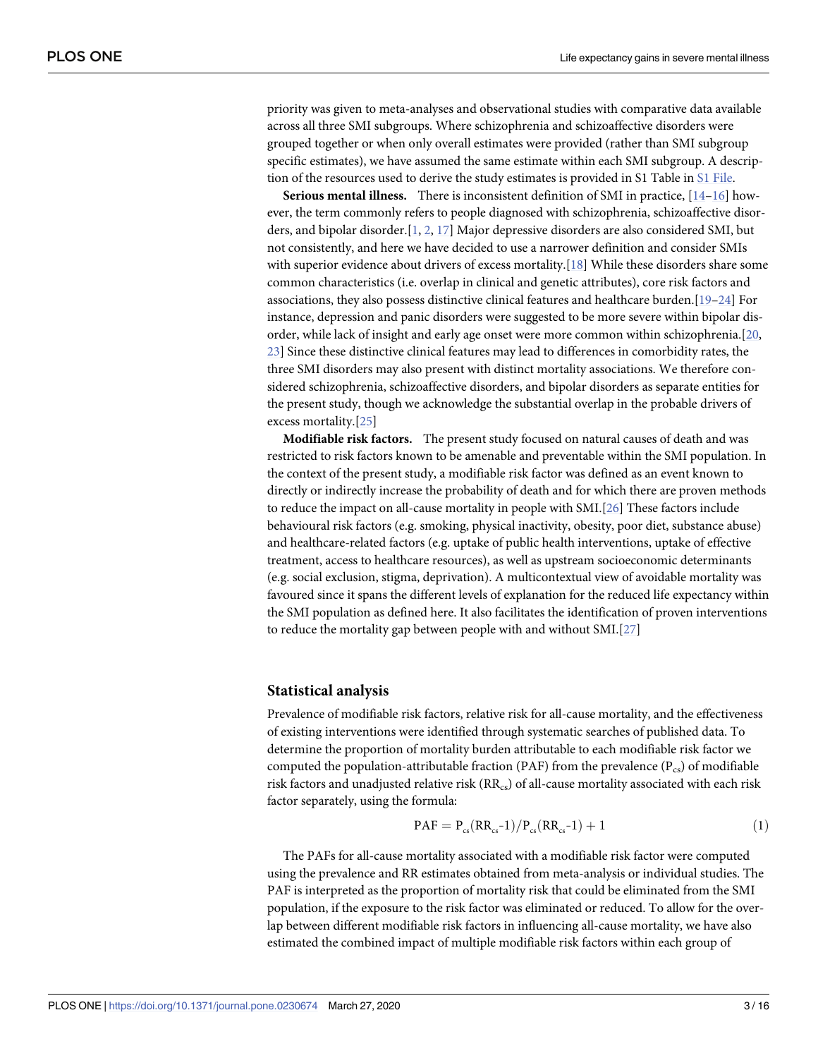<span id="page-2-0"></span>priority was given to meta-analyses and observational studies with comparative data available across all three SMI subgroups. Where schizophrenia and schizoaffective disorders were grouped together or when only overall estimates were provided (rather than SMI subgroup specific estimates), we have assumed the same estimate within each SMI subgroup. A description of the resources used to derive the study estimates is provided in S1 Table in S1 [File](#page-10-0).

**Serious mental illness.** There is inconsistent definition of SMI in practice, [[14–16\]](#page-12-0) however, the term commonly refers to people diagnosed with schizophrenia, schizoaffective disorders, and bipolar disorder.[[1](#page-11-0), [2](#page-11-0), [17](#page-12-0)] Major depressive disorders are also considered SMI, but not consistently, and here we have decided to use a narrower definition and consider SMIs with superior evidence about drivers of excess mortality.[\[18\]](#page-12-0) While these disorders share some common characteristics (i.e. overlap in clinical and genetic attributes), core risk factors and associations, they also possess distinctive clinical features and healthcare burden.[\[19–](#page-12-0)[24](#page-13-0)] For instance, depression and panic disorders were suggested to be more severe within bipolar disorder, while lack of insight and early age onset were more common within schizophrenia.[[20](#page-12-0), [23\]](#page-12-0) Since these distinctive clinical features may lead to differences in comorbidity rates, the three SMI disorders may also present with distinct mortality associations. We therefore considered schizophrenia, schizoaffective disorders, and bipolar disorders as separate entities for the present study, though we acknowledge the substantial overlap in the probable drivers of excess mortality.[\[25\]](#page-13-0)

**Modifiable risk factors.** The present study focused on natural causes of death and was restricted to risk factors known to be amenable and preventable within the SMI population. In the context of the present study, a modifiable risk factor was defined as an event known to directly or indirectly increase the probability of death and for which there are proven methods to reduce the impact on all-cause mortality in people with SMI.[\[26\]](#page-13-0) These factors include behavioural risk factors (e.g. smoking, physical inactivity, obesity, poor diet, substance abuse) and healthcare-related factors (e.g. uptake of public health interventions, uptake of effective treatment, access to healthcare resources), as well as upstream socioeconomic determinants (e.g. social exclusion, stigma, deprivation). A multicontextual view of avoidable mortality was favoured since it spans the different levels of explanation for the reduced life expectancy within the SMI population as defined here. It also facilitates the identification of proven interventions to reduce the mortality gap between people with and without SMI.[[27](#page-13-0)]

#### **Statistical analysis**

Prevalence of modifiable risk factors, relative risk for all-cause mortality, and the effectiveness of existing interventions were identified through systematic searches of published data. To determine the proportion of mortality burden attributable to each modifiable risk factor we computed the population-attributable fraction (PAF) from the prevalence ( $P_{cs}$ ) of modifiable risk factors and unadjusted relative risk (RR<sub>cs</sub>) of all-cause mortality associated with each risk factor separately, using the formula:

$$
PAF = P_{cs}(RR_{cs} - 1)/P_{cs}(RR_{cs} - 1) + 1
$$
\n(1)

The PAFs for all-cause mortality associated with a modifiable risk factor were computed using the prevalence and RR estimates obtained from meta-analysis or individual studies. The PAF is interpreted as the proportion of mortality risk that could be eliminated from the SMI population, if the exposure to the risk factor was eliminated or reduced. To allow for the overlap between different modifiable risk factors in influencing all-cause mortality, we have also estimated the combined impact of multiple modifiable risk factors within each group of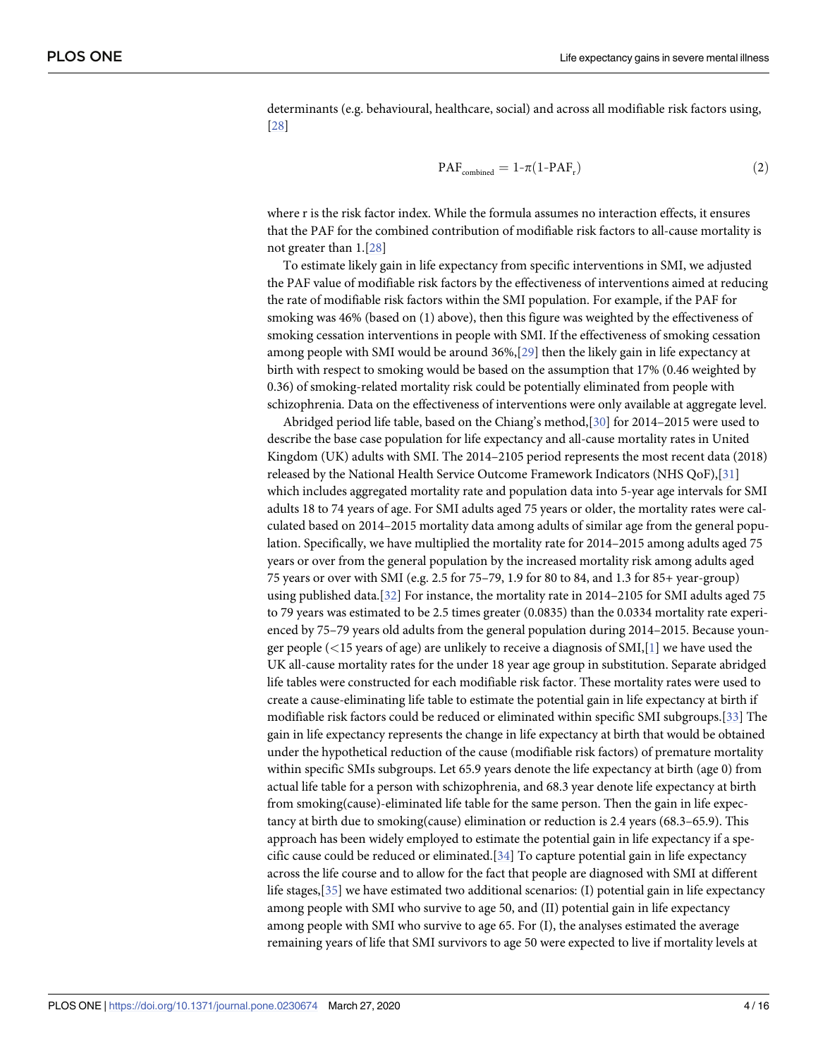<span id="page-3-0"></span>determinants (e.g. behavioural, healthcare, social) and across all modifiable risk factors using, [\[28\]](#page-13-0)

$$
PAF_{\text{combined}} = 1 - \pi (1 - PAF_r) \tag{2}
$$

where r is the risk factor index. While the formula assumes no interaction effects, it ensures that the PAF for the combined contribution of modifiable risk factors to all-cause mortality is not greater than 1.[\[28](#page-13-0)]

To estimate likely gain in life expectancy from specific interventions in SMI, we adjusted the PAF value of modifiable risk factors by the effectiveness of interventions aimed at reducing the rate of modifiable risk factors within the SMI population. For example, if the PAF for smoking was 46% (based on (1) above), then this figure was weighted by the effectiveness of smoking cessation interventions in people with SMI. If the effectiveness of smoking cessation among people with SMI would be around 36%,[[29\]](#page-13-0) then the likely gain in life expectancy at birth with respect to smoking would be based on the assumption that 17% (0.46 weighted by 0.36) of smoking-related mortality risk could be potentially eliminated from people with schizophrenia. Data on the effectiveness of interventions were only available at aggregate level.

Abridged period life table, based on the Chiang's method,[\[30\]](#page-13-0) for 2014–2015 were used to describe the base case population for life expectancy and all-cause mortality rates in United Kingdom (UK) adults with SMI. The 2014–2105 period represents the most recent data (2018) released by the National Health Service Outcome Framework Indicators (NHS QoF),[[31](#page-13-0)] which includes aggregated mortality rate and population data into 5-year age intervals for SMI adults 18 to 74 years of age. For SMI adults aged 75 years or older, the mortality rates were calculated based on 2014–2015 mortality data among adults of similar age from the general population. Specifically, we have multiplied the mortality rate for 2014–2015 among adults aged 75 years or over from the general population by the increased mortality risk among adults aged 75 years or over with SMI (e.g. 2.5 for 75–79, 1.9 for 80 to 84, and 1.3 for 85+ year-group) using published data.[[32](#page-13-0)] For instance, the mortality rate in 2014–2105 for SMI adults aged 75 to 79 years was estimated to be 2.5 times greater (0.0835) than the 0.0334 mortality rate experienced by 75–79 years old adults from the general population during 2014–2015. Because younger people (*<*15 years of age) are unlikely to receive a diagnosis of SMI,[[1\]](#page-11-0) we have used the UK all-cause mortality rates for the under 18 year age group in substitution. Separate abridged life tables were constructed for each modifiable risk factor. These mortality rates were used to create a cause-eliminating life table to estimate the potential gain in life expectancy at birth if modifiable risk factors could be reduced or eliminated within specific SMI subgroups.[[33](#page-13-0)] The gain in life expectancy represents the change in life expectancy at birth that would be obtained under the hypothetical reduction of the cause (modifiable risk factors) of premature mortality within specific SMIs subgroups. Let 65.9 years denote the life expectancy at birth (age 0) from actual life table for a person with schizophrenia, and 68.3 year denote life expectancy at birth from smoking(cause)-eliminated life table for the same person. Then the gain in life expectancy at birth due to smoking(cause) elimination or reduction is 2.4 years (68.3–65.9). This approach has been widely employed to estimate the potential gain in life expectancy if a specific cause could be reduced or eliminated.[\[34\]](#page-13-0) To capture potential gain in life expectancy across the life course and to allow for the fact that people are diagnosed with SMI at different life stages,[[35\]](#page-13-0) we have estimated two additional scenarios: (I) potential gain in life expectancy among people with SMI who survive to age 50, and (II) potential gain in life expectancy among people with SMI who survive to age 65. For (I), the analyses estimated the average remaining years of life that SMI survivors to age 50 were expected to live if mortality levels at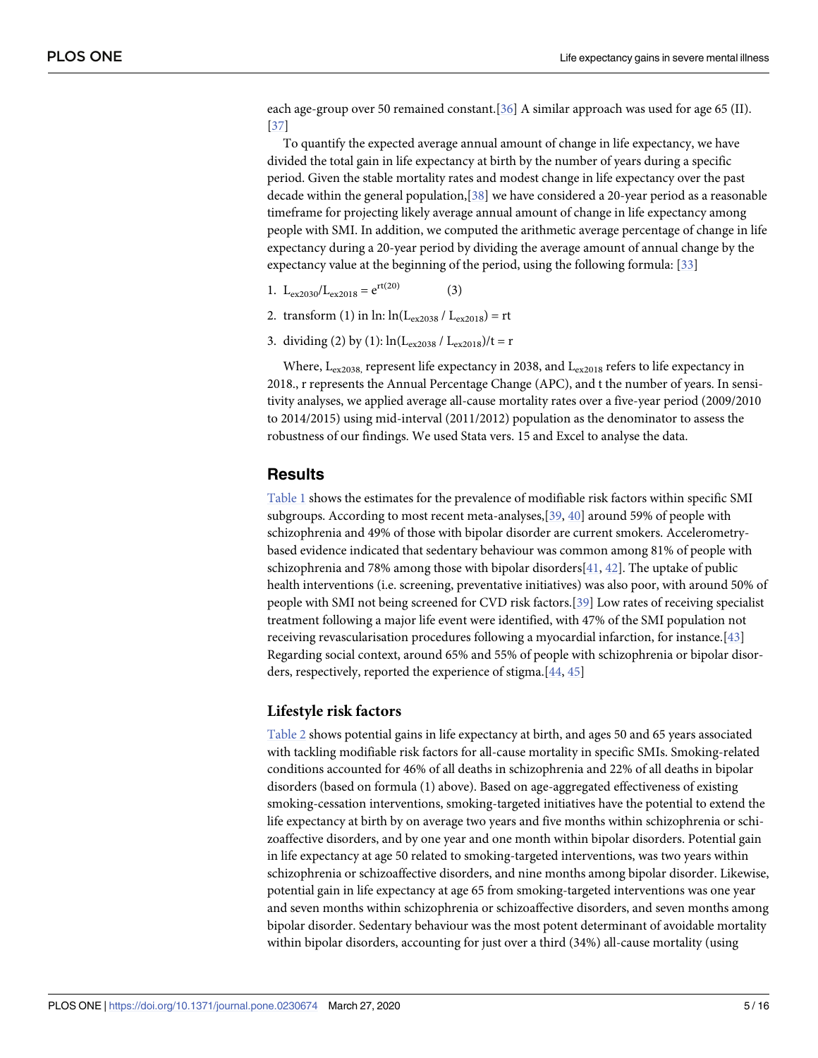<span id="page-4-0"></span>each age-group over 50 remained constant.[[36](#page-13-0)] A similar approach was used for age 65 (II). [\[37\]](#page-13-0)

To quantify the expected average annual amount of change in life expectancy, we have divided the total gain in life expectancy at birth by the number of years during a specific period. Given the stable mortality rates and modest change in life expectancy over the past decade within the general population,[\[38\]](#page-13-0) we have considered a 20-year period as a reasonable timeframe for projecting likely average annual amount of change in life expectancy among people with SMI. In addition, we computed the arithmetic average percentage of change in life expectancy during a 20-year period by dividing the average amount of annual change by the expectancy value at the beginning of the period, using the following formula: [[33](#page-13-0)]

- 1.  $L_{ex2030}/L_{ex2018} = e^{rt(20)}$  (3)
- 2. transform (1) in ln:  $ln(L_{ex2038} / L_{ex2018}) = rt$
- 3. dividing (2) by (1):  $\ln(L_{ex2038} / L_{ex2018})/t = r$

Where,  $L_{ex2038}$ , represent life expectancy in 2038, and  $L_{ex2018}$  refers to life expectancy in 2018., r represents the Annual Percentage Change (APC), and t the number of years. In sensitivity analyses, we applied average all-cause mortality rates over a five-year period (2009/2010 to 2014/2015) using mid-interval (2011/2012) population as the denominator to assess the robustness of our findings. We used Stata vers. 15 and Excel to analyse the data.

## **Results**

[Table](#page-5-0) 1 shows the estimates for the prevalence of modifiable risk factors within specific SMI subgroups. According to most recent meta-analyses,[\[39,](#page-13-0) [40\]](#page-13-0) around 59% of people with schizophrenia and 49% of those with bipolar disorder are current smokers. Accelerometrybased evidence indicated that sedentary behaviour was common among 81% of people with schizophrenia and 78% among those with bipolar disorders[\[41,](#page-13-0) [42\]](#page-13-0). The uptake of public health interventions (i.e. screening, preventative initiatives) was also poor, with around 50% of people with SMI not being screened for CVD risk factors.[[39](#page-13-0)] Low rates of receiving specialist treatment following a major life event were identified, with 47% of the SMI population not receiving revascularisation procedures following a myocardial infarction, for instance.[[43](#page-13-0)] Regarding social context, around 65% and 55% of people with schizophrenia or bipolar disorders, respectively, reported the experience of stigma.[\[44,](#page-13-0) [45](#page-14-0)]

#### **Lifestyle risk factors**

[Table](#page-6-0) 2 shows potential gains in life expectancy at birth, and ages 50 and 65 years associated with tackling modifiable risk factors for all-cause mortality in specific SMIs. Smoking-related conditions accounted for 46% of all deaths in schizophrenia and 22% of all deaths in bipolar disorders (based on formula (1) above). Based on age-aggregated effectiveness of existing smoking-cessation interventions, smoking-targeted initiatives have the potential to extend the life expectancy at birth by on average two years and five months within schizophrenia or schizoaffective disorders, and by one year and one month within bipolar disorders. Potential gain in life expectancy at age 50 related to smoking-targeted interventions, was two years within schizophrenia or schizoaffective disorders, and nine months among bipolar disorder. Likewise, potential gain in life expectancy at age 65 from smoking-targeted interventions was one year and seven months within schizophrenia or schizoaffective disorders, and seven months among bipolar disorder. Sedentary behaviour was the most potent determinant of avoidable mortality within bipolar disorders, accounting for just over a third (34%) all-cause mortality (using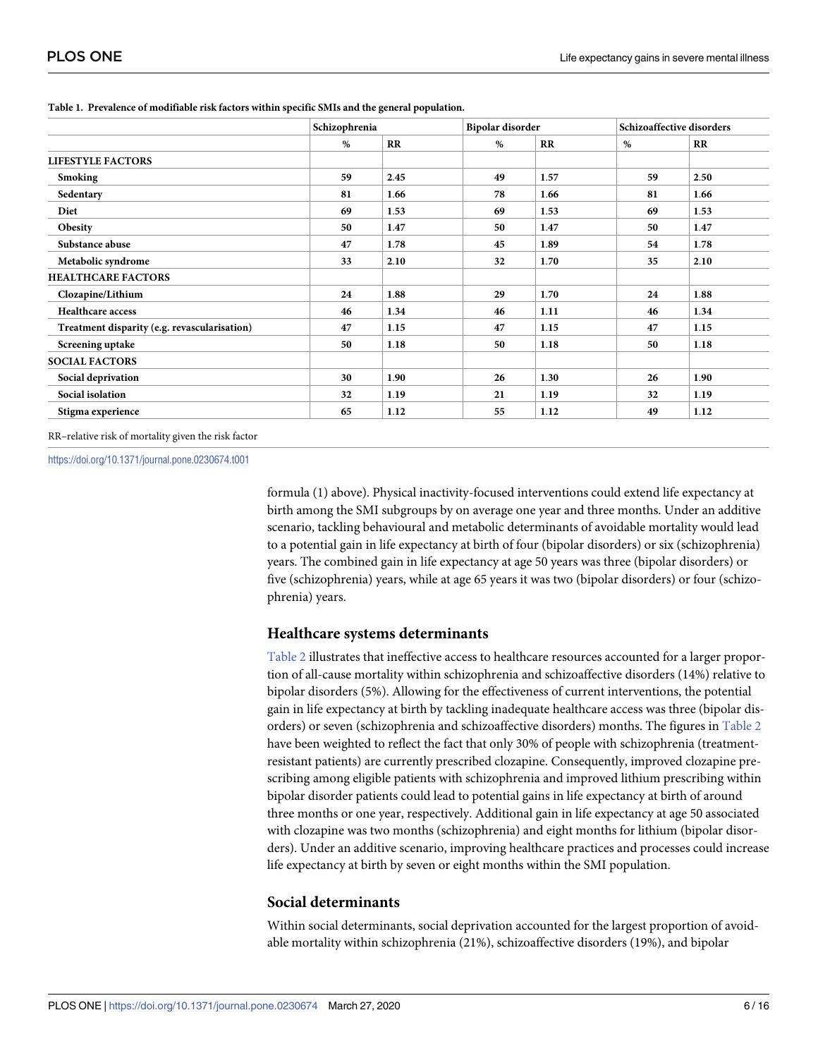|                                              |    | Schizophrenia |    | Bipolar disorder | Schizoaffective disorders |      |  |
|----------------------------------------------|----|---------------|----|------------------|---------------------------|------|--|
|                                              | %  | $\mathbf{R}$  | %  | RR               | %                         | RR   |  |
| <b>LIFESTYLE FACTORS</b>                     |    |               |    |                  |                           |      |  |
| Smoking                                      | 59 | 2.45          | 49 | 1.57             | 59                        | 2.50 |  |
| Sedentary                                    | 81 | 1.66          | 78 | 1.66             | 81                        | 1.66 |  |
| Diet                                         | 69 | 1.53          | 69 | 1.53             | 69                        | 1.53 |  |
| Obesity                                      | 50 | 1.47          | 50 | 1.47             | 50                        | 1.47 |  |
| Substance abuse                              | 47 | 1.78          | 45 | 1.89             | 54                        | 1.78 |  |
| Metabolic syndrome                           | 33 | 2.10          | 32 | 1.70             | 35                        | 2.10 |  |
| <b>HEALTHCARE FACTORS</b>                    |    |               |    |                  |                           |      |  |
| Clozapine/Lithium                            | 24 | 1.88          | 29 | 1.70             | 24                        | 1.88 |  |
| <b>Healthcare access</b>                     | 46 | 1.34          | 46 | 1.11             | 46                        | 1.34 |  |
| Treatment disparity (e.g. revascularisation) | 47 | 1.15          | 47 | 1.15             | 47                        | 1.15 |  |
| Screening uptake                             | 50 | 1.18          | 50 | 1.18             | 50                        | 1.18 |  |
| <b>SOCIAL FACTORS</b>                        |    |               |    |                  |                           |      |  |
| Social deprivation                           | 30 | 1.90          | 26 | 1.30             | 26                        | 1.90 |  |
| Social isolation                             | 32 | 1.19          | 21 | 1.19             | 32                        | 1.19 |  |
| Stigma experience                            | 65 | 1.12          | 55 | 1.12             | 49                        | 1.12 |  |

<span id="page-5-0"></span>**[Table](#page-4-0) 1. Prevalence of modifiable risk factors within specific SMIs and the general population.**

RR–relative risk of mortality given the risk factor

<https://doi.org/10.1371/journal.pone.0230674.t001>

formula (1) above). Physical inactivity-focused interventions could extend life expectancy at birth among the SMI subgroups by on average one year and three months. Under an additive scenario, tackling behavioural and metabolic determinants of avoidable mortality would lead to a potential gain in life expectancy at birth of four (bipolar disorders) or six (schizophrenia) years. The combined gain in life expectancy at age 50 years was three (bipolar disorders) or five (schizophrenia) years, while at age 65 years it was two (bipolar disorders) or four (schizophrenia) years.

#### **Healthcare systems determinants**

[Table](#page-6-0) 2 illustrates that ineffective access to healthcare resources accounted for a larger proportion of all-cause mortality within schizophrenia and schizoaffective disorders (14%) relative to bipolar disorders (5%). Allowing for the effectiveness of current interventions, the potential gain in life expectancy at birth by tackling inadequate healthcare access was three (bipolar disorders) or seven (schizophrenia and schizoaffective disorders) months. The figures in [Table](#page-6-0) 2 have been weighted to reflect the fact that only 30% of people with schizophrenia (treatmentresistant patients) are currently prescribed clozapine. Consequently, improved clozapine prescribing among eligible patients with schizophrenia and improved lithium prescribing within bipolar disorder patients could lead to potential gains in life expectancy at birth of around three months or one year, respectively. Additional gain in life expectancy at age 50 associated with clozapine was two months (schizophrenia) and eight months for lithium (bipolar disorders). Under an additive scenario, improving healthcare practices and processes could increase life expectancy at birth by seven or eight months within the SMI population.

#### **Social determinants**

Within social determinants, social deprivation accounted for the largest proportion of avoidable mortality within schizophrenia (21%), schizoaffective disorders (19%), and bipolar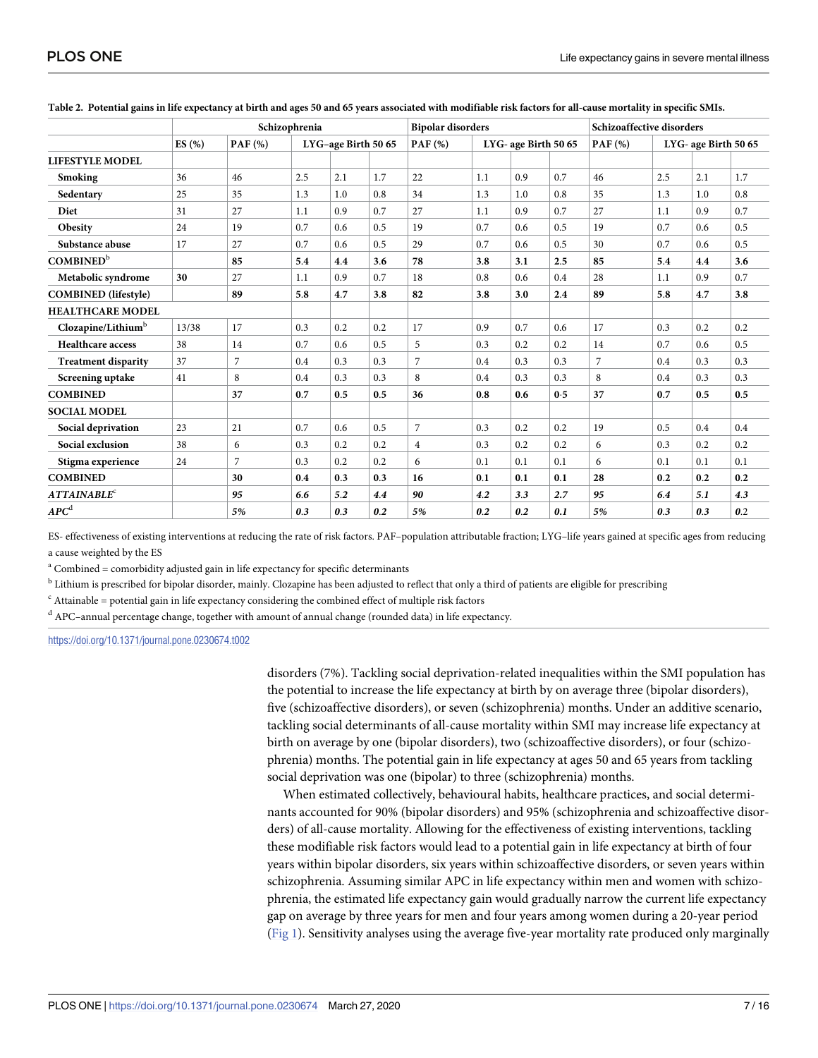|                                 |            | Schizophrenia |                     |     |     | <b>Bipolar disorders</b> |     |                      |     | Schizoaffective disorders |                      |     |     |
|---------------------------------|------------|---------------|---------------------|-----|-----|--------------------------|-----|----------------------|-----|---------------------------|----------------------|-----|-----|
|                                 | ES $(\% )$ | $PAF(\%)$     | LYG-age Birth 50 65 |     |     | PAF (%)                  |     | LYG- age Birth 50 65 |     | PAF (%)                   | LYG- age Birth 50 65 |     |     |
| <b>LIFESTYLE MODEL</b>          |            |               |                     |     |     |                          |     |                      |     |                           |                      |     |     |
| Smoking                         | 36         | 46            | 2.5                 | 2.1 | 1.7 | 22                       | 1.1 | 0.9                  | 0.7 | 46                        | 2.5                  | 2.1 | 1.7 |
| Sedentary                       | 25         | 35            | 1.3                 | 1.0 | 0.8 | 34                       | 1.3 | 1.0                  | 0.8 | 35                        | 1.3                  | 1.0 | 0.8 |
| Diet                            | 31         | 27            | 1.1                 | 0.9 | 0.7 | 27                       | 1.1 | 0.9                  | 0.7 | 27                        | 1.1                  | 0.9 | 0.7 |
| Obesity                         | 24         | 19            | 0.7                 | 0.6 | 0.5 | 19                       | 0.7 | 0.6                  | 0.5 | 19                        | 0.7                  | 0.6 | 0.5 |
| Substance abuse                 | 17         | 27            | 0.7                 | 0.6 | 0.5 | 29                       | 0.7 | 0.6                  | 0.5 | 30                        | 0.7                  | 0.6 | 0.5 |
| <b>COMBINED</b> <sup>b</sup>    |            | 85            | 5.4                 | 4.4 | 3.6 | 78                       | 3.8 | 3.1                  | 2.5 | 85                        | 5.4                  | 4.4 | 3.6 |
| Metabolic syndrome              | 30         | 27            | 1.1                 | 0.9 | 0.7 | 18                       | 0.8 | 0.6                  | 0.4 | 28                        | 1.1                  | 0.9 | 0.7 |
| <b>COMBINED</b> (lifestyle)     |            | 89            | 5.8                 | 4.7 | 3.8 | 82                       | 3.8 | 3.0                  | 2.4 | 89                        | 5.8                  | 4.7 | 3.8 |
| <b>HEALTHCARE MODEL</b>         |            |               |                     |     |     |                          |     |                      |     |                           |                      |     |     |
| Clozapine/Lithium <sup>b</sup>  | 13/38      | 17            | 0.3                 | 0.2 | 0.2 | 17                       | 0.9 | 0.7                  | 0.6 | 17                        | 0.3                  | 0.2 | 0.2 |
| <b>Healthcare access</b>        | 38         | 14            | 0.7                 | 0.6 | 0.5 | 5                        | 0.3 | 0.2                  | 0.2 | 14                        | 0.7                  | 0.6 | 0.5 |
| <b>Treatment disparity</b>      | 37         | 7             | 0.4                 | 0.3 | 0.3 | $\overline{7}$           | 0.4 | 0.3                  | 0.3 | 7                         | 0.4                  | 0.3 | 0.3 |
| Screening uptake                | 41         | 8             | 0.4                 | 0.3 | 0.3 | 8                        | 0.4 | 0.3                  | 0.3 | 8                         | 0.4                  | 0.3 | 0.3 |
| <b>COMBINED</b>                 |            | 37            | 0.7                 | 0.5 | 0.5 | 36                       | 0.8 | 0.6                  | 0.5 | 37                        | 0.7                  | 0.5 | 0.5 |
| <b>SOCIAL MODEL</b>             |            |               |                     |     |     |                          |     |                      |     |                           |                      |     |     |
| Social deprivation              | 23         | 21            | 0.7                 | 0.6 | 0.5 | $\overline{7}$           | 0.3 | 0.2                  | 0.2 | 19                        | 0.5                  | 0.4 | 0.4 |
| Social exclusion                | 38         | 6             | 0.3                 | 0.2 | 0.2 | $\overline{4}$           | 0.3 | 0.2                  | 0.2 | 6                         | 0.3                  | 0.2 | 0.2 |
| Stigma experience               | 24         | 7             | 0.3                 | 0.2 | 0.2 | 6                        | 0.1 | 0.1                  | 0.1 | 6                         | 0.1                  | 0.1 | 0.1 |
| <b>COMBINED</b>                 |            | 30            | 0.4                 | 0.3 | 0.3 | 16                       | 0.1 | 0.1                  | 0.1 | 28                        | 0.2                  | 0.2 | 0.2 |
| <b>ATTAINABLE<sup>c</sup></b>   |            | 95            | 6.6                 | 5.2 | 4.4 | 90                       | 4.2 | 3.3                  | 2.7 | 95                        | 6.4                  | 5.1 | 4.3 |
| $\boldsymbol{APC}^{\mathrm{d}}$ |            | 5%            | 0.3                 | 0.3 | 0.2 | 5%                       | 0.2 | 0.2                  | 0.1 | 5%                        | 0.3                  | 0.3 | 0.2 |

<span id="page-6-0"></span>[Table](#page-4-0) 2. Potential gains in life expectancy at birth and ages 50 and 65 years associated with modifiable risk factors for all-cause mortality in specific SMIs.

ES- effectiveness of existing interventions at reducing the rate of risk factors. PAF–population attributable fraction; LYG–life years gained at specific ages from reducing a cause weighted by the ES

 $a^2$  Combined = comorbidity adjusted gain in life expectancy for specific determinants

<sup>b</sup> Lithium is prescribed for bipolar disorder, mainly. Clozapine has been adjusted to reflect that only a third of patients are eligible for prescribing

 $c$  Attainable = potential gain in life expectancy considering the combined effect of multiple risk factors

<sup>d</sup> APC–annual percentage change, together with amount of annual change (rounded data) in life expectancy.

<https://doi.org/10.1371/journal.pone.0230674.t002>

disorders (7%). Tackling social deprivation-related inequalities within the SMI population has the potential to increase the life expectancy at birth by on average three (bipolar disorders), five (schizoaffective disorders), or seven (schizophrenia) months. Under an additive scenario, tackling social determinants of all-cause mortality within SMI may increase life expectancy at birth on average by one (bipolar disorders), two (schizoaffective disorders), or four (schizophrenia) months. The potential gain in life expectancy at ages 50 and 65 years from tackling social deprivation was one (bipolar) to three (schizophrenia) months.

When estimated collectively, behavioural habits, healthcare practices, and social determinants accounted for 90% (bipolar disorders) and 95% (schizophrenia and schizoaffective disorders) of all-cause mortality. Allowing for the effectiveness of existing interventions, tackling these modifiable risk factors would lead to a potential gain in life expectancy at birth of four years within bipolar disorders, six years within schizoaffective disorders, or seven years within schizophrenia. Assuming similar APC in life expectancy within men and women with schizophrenia, the estimated life expectancy gain would gradually narrow the current life expectancy gap on average by three years for men and four years among women during a 20-year period [\(Fig](#page-7-0) 1). Sensitivity analyses using the average five-year mortality rate produced only marginally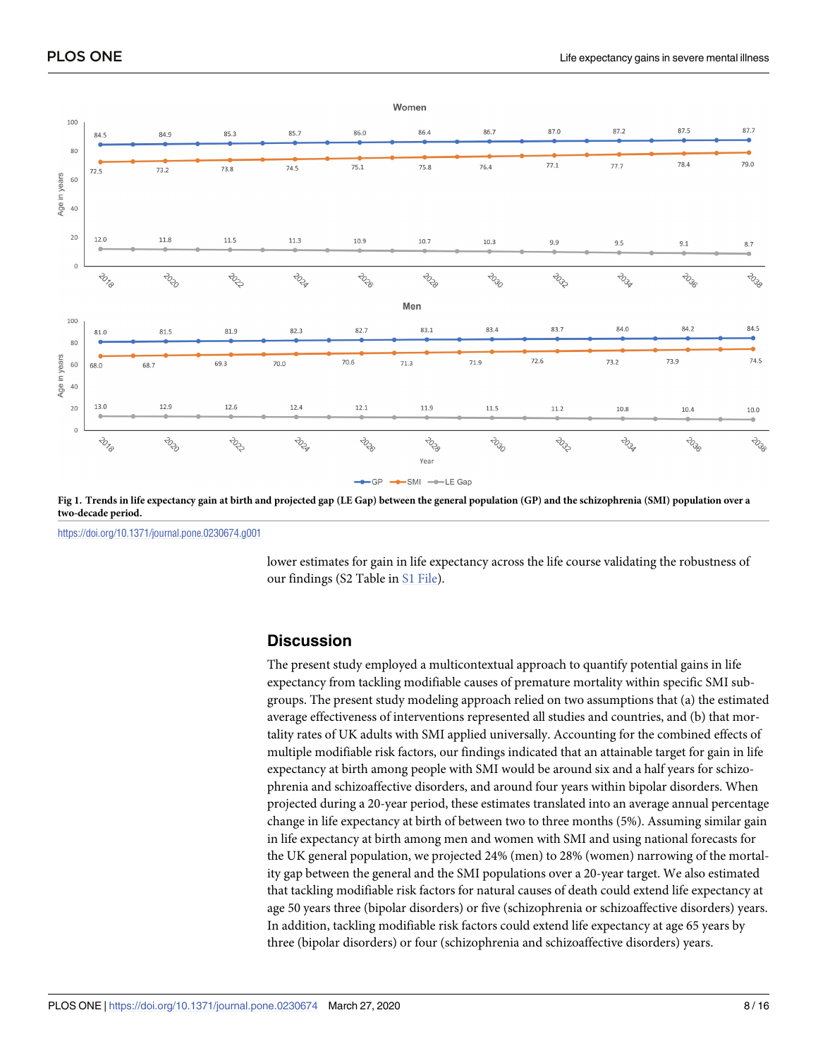<span id="page-7-0"></span>

[Fig](#page-6-0) 1. Trends in life expectancy gain at birth and projected gap (LE Gap) between the general population (GP) and the schizophrenia (SMI) population over a **two-decade period.**

<https://doi.org/10.1371/journal.pone.0230674.g001>

lower estimates for gain in life expectancy across the life course validating the robustness of our findings (S2 Table in S1 [File](#page-10-0)).

#### **Discussion**

The present study employed a multicontextual approach to quantify potential gains in life expectancy from tackling modifiable causes of premature mortality within specific SMI subgroups. The present study modeling approach relied on two assumptions that (a) the estimated average effectiveness of interventions represented all studies and countries, and (b) that mortality rates of UK adults with SMI applied universally. Accounting for the combined effects of multiple modifiable risk factors, our findings indicated that an attainable target for gain in life expectancy at birth among people with SMI would be around six and a half years for schizophrenia and schizoaffective disorders, and around four years within bipolar disorders. When projected during a 20-year period, these estimates translated into an average annual percentage change in life expectancy at birth of between two to three months (5%). Assuming similar gain in life expectancy at birth among men and women with SMI and using national forecasts for the UK general population, we projected 24% (men) to 28% (women) narrowing of the mortality gap between the general and the SMI populations over a 20-year target. We also estimated that tackling modifiable risk factors for natural causes of death could extend life expectancy at age 50 years three (bipolar disorders) or five (schizophrenia or schizoaffective disorders) years. In addition, tackling modifiable risk factors could extend life expectancy at age 65 years by three (bipolar disorders) or four (schizophrenia and schizoaffective disorders) years.

PLOS ONE | <https://doi.org/10.1371/journal.pone.0230674> March 27, 2020 8 / 16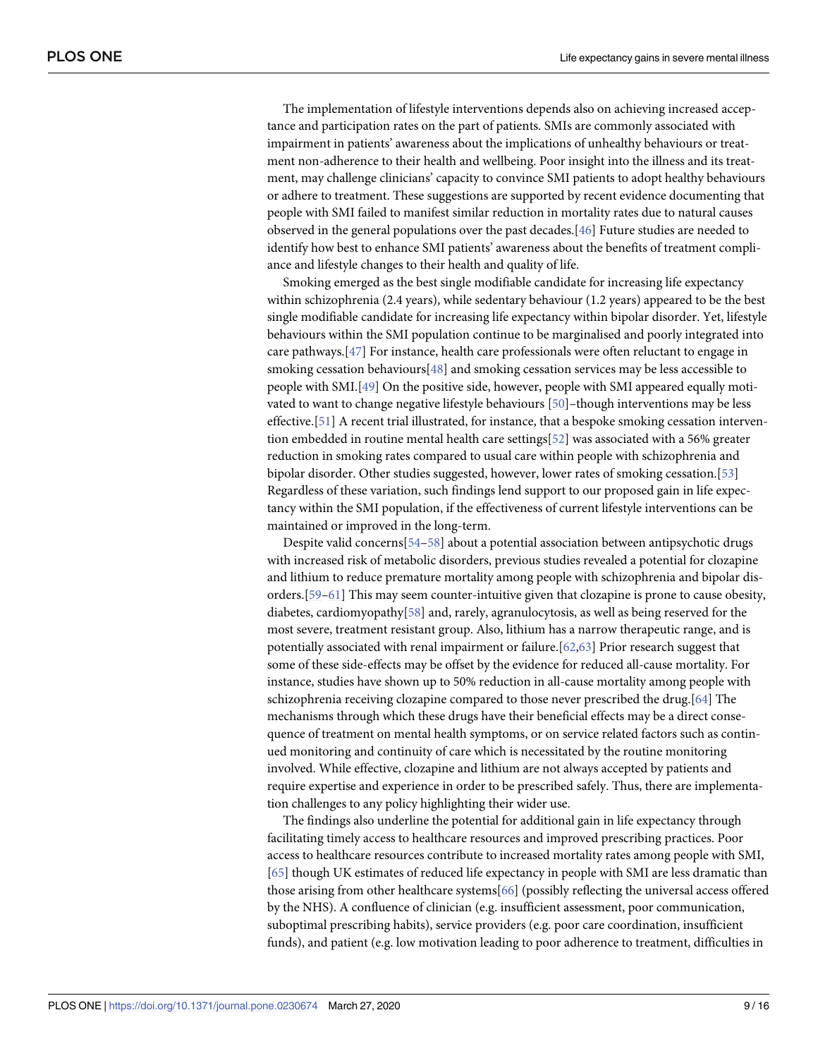<span id="page-8-0"></span>The implementation of lifestyle interventions depends also on achieving increased acceptance and participation rates on the part of patients. SMIs are commonly associated with impairment in patients' awareness about the implications of unhealthy behaviours or treatment non-adherence to their health and wellbeing. Poor insight into the illness and its treatment, may challenge clinicians' capacity to convince SMI patients to adopt healthy behaviours or adhere to treatment. These suggestions are supported by recent evidence documenting that people with SMI failed to manifest similar reduction in mortality rates due to natural causes observed in the general populations over the past decades.[\[46\]](#page-14-0) Future studies are needed to identify how best to enhance SMI patients' awareness about the benefits of treatment compliance and lifestyle changes to their health and quality of life.

Smoking emerged as the best single modifiable candidate for increasing life expectancy within schizophrenia (2.4 years), while sedentary behaviour (1.2 years) appeared to be the best single modifiable candidate for increasing life expectancy within bipolar disorder. Yet, lifestyle behaviours within the SMI population continue to be marginalised and poorly integrated into care pathways.[\[47\]](#page-14-0) For instance, health care professionals were often reluctant to engage in smoking cessation behaviours[\[48\]](#page-14-0) and smoking cessation services may be less accessible to people with SMI.[\[49\]](#page-14-0) On the positive side, however, people with SMI appeared equally motivated to want to change negative lifestyle behaviours [\[50\]](#page-14-0)–though interventions may be less effective.[[51\]](#page-14-0) A recent trial illustrated, for instance, that a bespoke smoking cessation intervention embedded in routine mental health care settings[\[52\]](#page-14-0) was associated with a 56% greater reduction in smoking rates compared to usual care within people with schizophrenia and bipolar disorder. Other studies suggested, however, lower rates of smoking cessation.[\[53\]](#page-14-0) Regardless of these variation, such findings lend support to our proposed gain in life expectancy within the SMI population, if the effectiveness of current lifestyle interventions can be maintained or improved in the long-term.

Despite valid concerns[\[54–58\]](#page-14-0) about a potential association between antipsychotic drugs with increased risk of metabolic disorders, previous studies revealed a potential for clozapine and lithium to reduce premature mortality among people with schizophrenia and bipolar disorders.[\[59–61](#page-14-0)] This may seem counter-intuitive given that clozapine is prone to cause obesity, diabetes, cardiomyopathy[[58](#page-14-0)] and, rarely, agranulocytosis, as well as being reserved for the most severe, treatment resistant group. Also, lithium has a narrow therapeutic range, and is potentially associated with renal impairment or failure.[[62](#page-14-0)[,63\]](#page-15-0) Prior research suggest that some of these side-effects may be offset by the evidence for reduced all-cause mortality. For instance, studies have shown up to 50% reduction in all-cause mortality among people with schizophrenia receiving clozapine compared to those never prescribed the drug.[[64](#page-15-0)] The mechanisms through which these drugs have their beneficial effects may be a direct consequence of treatment on mental health symptoms, or on service related factors such as continued monitoring and continuity of care which is necessitated by the routine monitoring involved. While effective, clozapine and lithium are not always accepted by patients and require expertise and experience in order to be prescribed safely. Thus, there are implementation challenges to any policy highlighting their wider use.

The findings also underline the potential for additional gain in life expectancy through facilitating timely access to healthcare resources and improved prescribing practices. Poor access to healthcare resources contribute to increased mortality rates among people with SMI, [\[65\]](#page-15-0) though UK estimates of reduced life expectancy in people with SMI are less dramatic than those arising from other healthcare systems[[66\]](#page-15-0) (possibly reflecting the universal access offered by the NHS). A confluence of clinician (e.g. insufficient assessment, poor communication, suboptimal prescribing habits), service providers (e.g. poor care coordination, insufficient funds), and patient (e.g. low motivation leading to poor adherence to treatment, difficulties in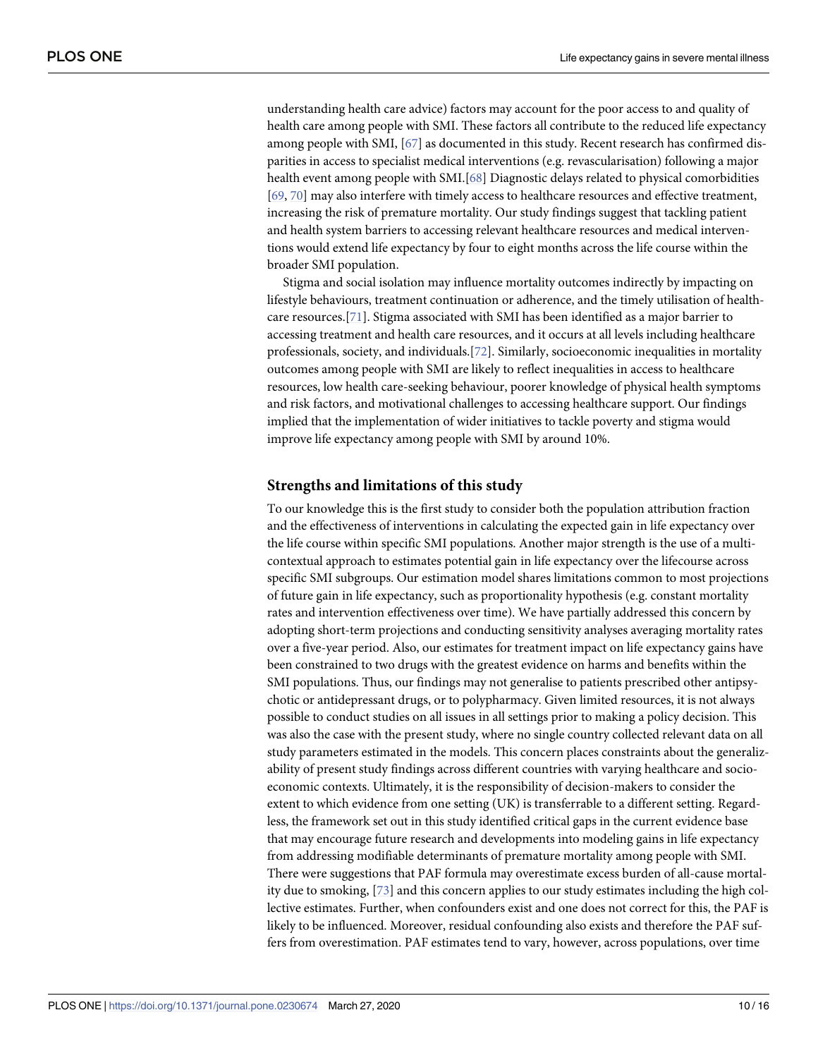<span id="page-9-0"></span>understanding health care advice) factors may account for the poor access to and quality of health care among people with SMI. These factors all contribute to the reduced life expectancy among people with SMI, [\[67\]](#page-15-0) as documented in this study. Recent research has confirmed disparities in access to specialist medical interventions (e.g. revascularisation) following a major health event among people with SMI.[[68](#page-15-0)] Diagnostic delays related to physical comorbidities [\[69,](#page-15-0) [70\]](#page-15-0) may also interfere with timely access to healthcare resources and effective treatment, increasing the risk of premature mortality. Our study findings suggest that tackling patient and health system barriers to accessing relevant healthcare resources and medical interventions would extend life expectancy by four to eight months across the life course within the broader SMI population.

Stigma and social isolation may influence mortality outcomes indirectly by impacting on lifestyle behaviours, treatment continuation or adherence, and the timely utilisation of healthcare resources.[\[71\]](#page-15-0). Stigma associated with SMI has been identified as a major barrier to accessing treatment and health care resources, and it occurs at all levels including healthcare professionals, society, and individuals.[\[72\]](#page-15-0). Similarly, socioeconomic inequalities in mortality outcomes among people with SMI are likely to reflect inequalities in access to healthcare resources, low health care-seeking behaviour, poorer knowledge of physical health symptoms and risk factors, and motivational challenges to accessing healthcare support. Our findings implied that the implementation of wider initiatives to tackle poverty and stigma would improve life expectancy among people with SMI by around 10%.

#### **Strengths and limitations of this study**

To our knowledge this is the first study to consider both the population attribution fraction and the effectiveness of interventions in calculating the expected gain in life expectancy over the life course within specific SMI populations. Another major strength is the use of a multicontextual approach to estimates potential gain in life expectancy over the lifecourse across specific SMI subgroups. Our estimation model shares limitations common to most projections of future gain in life expectancy, such as proportionality hypothesis (e.g. constant mortality rates and intervention effectiveness over time). We have partially addressed this concern by adopting short-term projections and conducting sensitivity analyses averaging mortality rates over a five-year period. Also, our estimates for treatment impact on life expectancy gains have been constrained to two drugs with the greatest evidence on harms and benefits within the SMI populations. Thus, our findings may not generalise to patients prescribed other antipsychotic or antidepressant drugs, or to polypharmacy. Given limited resources, it is not always possible to conduct studies on all issues in all settings prior to making a policy decision. This was also the case with the present study, where no single country collected relevant data on all study parameters estimated in the models. This concern places constraints about the generalizability of present study findings across different countries with varying healthcare and socioeconomic contexts. Ultimately, it is the responsibility of decision-makers to consider the extent to which evidence from one setting (UK) is transferrable to a different setting. Regardless, the framework set out in this study identified critical gaps in the current evidence base that may encourage future research and developments into modeling gains in life expectancy from addressing modifiable determinants of premature mortality among people with SMI. There were suggestions that PAF formula may overestimate excess burden of all-cause mortality due to smoking, [\[73\]](#page-15-0) and this concern applies to our study estimates including the high collective estimates. Further, when confounders exist and one does not correct for this, the PAF is likely to be influenced. Moreover, residual confounding also exists and therefore the PAF suffers from overestimation. PAF estimates tend to vary, however, across populations, over time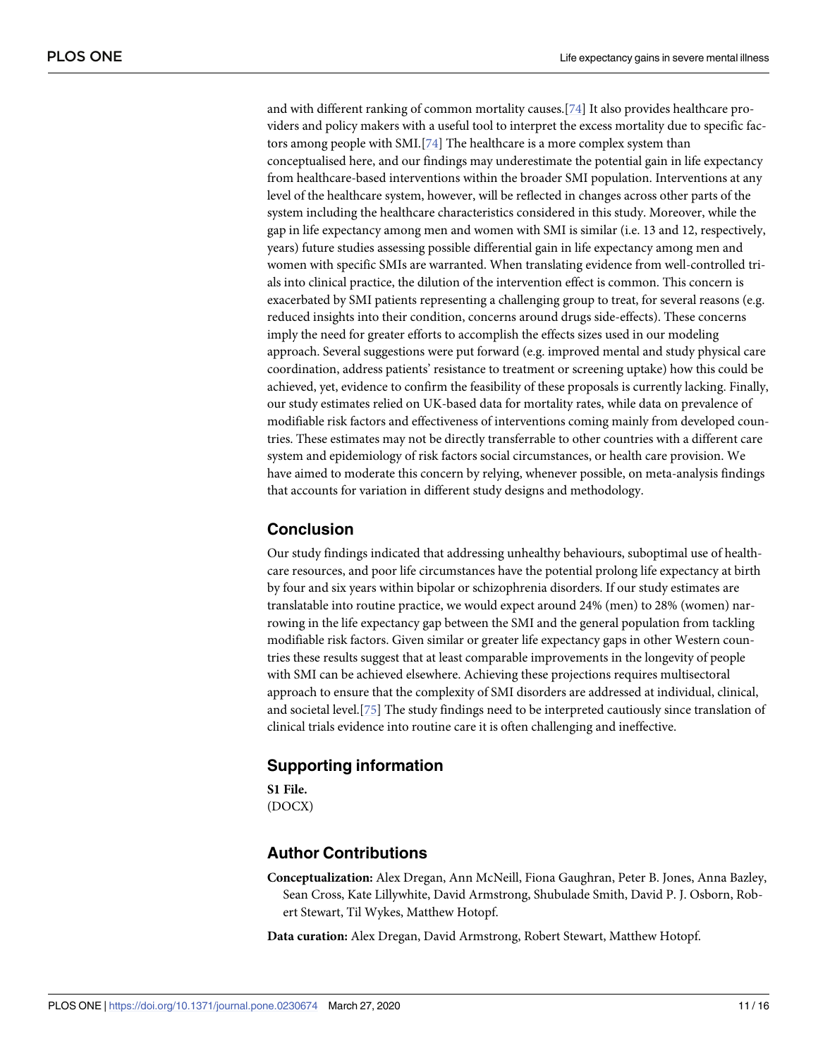<span id="page-10-0"></span>and with different ranking of common mortality causes.[\[74\]](#page-15-0) It also provides healthcare providers and policy makers with a useful tool to interpret the excess mortality due to specific factors among people with SMI.[[74](#page-15-0)] The healthcare is a more complex system than conceptualised here, and our findings may underestimate the potential gain in life expectancy from healthcare-based interventions within the broader SMI population. Interventions at any level of the healthcare system, however, will be reflected in changes across other parts of the system including the healthcare characteristics considered in this study. Moreover, while the gap in life expectancy among men and women with SMI is similar (i.e. 13 and 12, respectively, years) future studies assessing possible differential gain in life expectancy among men and women with specific SMIs are warranted. When translating evidence from well-controlled trials into clinical practice, the dilution of the intervention effect is common. This concern is exacerbated by SMI patients representing a challenging group to treat, for several reasons (e.g. reduced insights into their condition, concerns around drugs side-effects). These concerns imply the need for greater efforts to accomplish the effects sizes used in our modeling approach. Several suggestions were put forward (e.g. improved mental and study physical care coordination, address patients' resistance to treatment or screening uptake) how this could be achieved, yet, evidence to confirm the feasibility of these proposals is currently lacking. Finally, our study estimates relied on UK-based data for mortality rates, while data on prevalence of modifiable risk factors and effectiveness of interventions coming mainly from developed countries. These estimates may not be directly transferrable to other countries with a different care system and epidemiology of risk factors social circumstances, or health care provision. We have aimed to moderate this concern by relying, whenever possible, on meta-analysis findings that accounts for variation in different study designs and methodology.

## **Conclusion**

Our study findings indicated that addressing unhealthy behaviours, suboptimal use of healthcare resources, and poor life circumstances have the potential prolong life expectancy at birth by four and six years within bipolar or schizophrenia disorders. If our study estimates are translatable into routine practice, we would expect around 24% (men) to 28% (women) narrowing in the life expectancy gap between the SMI and the general population from tackling modifiable risk factors. Given similar or greater life expectancy gaps in other Western countries these results suggest that at least comparable improvements in the longevity of people with SMI can be achieved elsewhere. Achieving these projections requires multisectoral approach to ensure that the complexity of SMI disorders are addressed at individual, clinical, and societal level.[[75](#page-15-0)] The study findings need to be interpreted cautiously since translation of clinical trials evidence into routine care it is often challenging and ineffective.

## **Supporting information**

**S1 [File.](http://www.plosone.org/article/fetchSingleRepresentation.action?uri=info:doi/10.1371/journal.pone.0230674.s001)** (DOCX)

# **Author Contributions**

**Conceptualization:** Alex Dregan, Ann McNeill, Fiona Gaughran, Peter B. Jones, Anna Bazley, Sean Cross, Kate Lillywhite, David Armstrong, Shubulade Smith, David P. J. Osborn, Robert Stewart, Til Wykes, Matthew Hotopf.

**Data curation:** Alex Dregan, David Armstrong, Robert Stewart, Matthew Hotopf.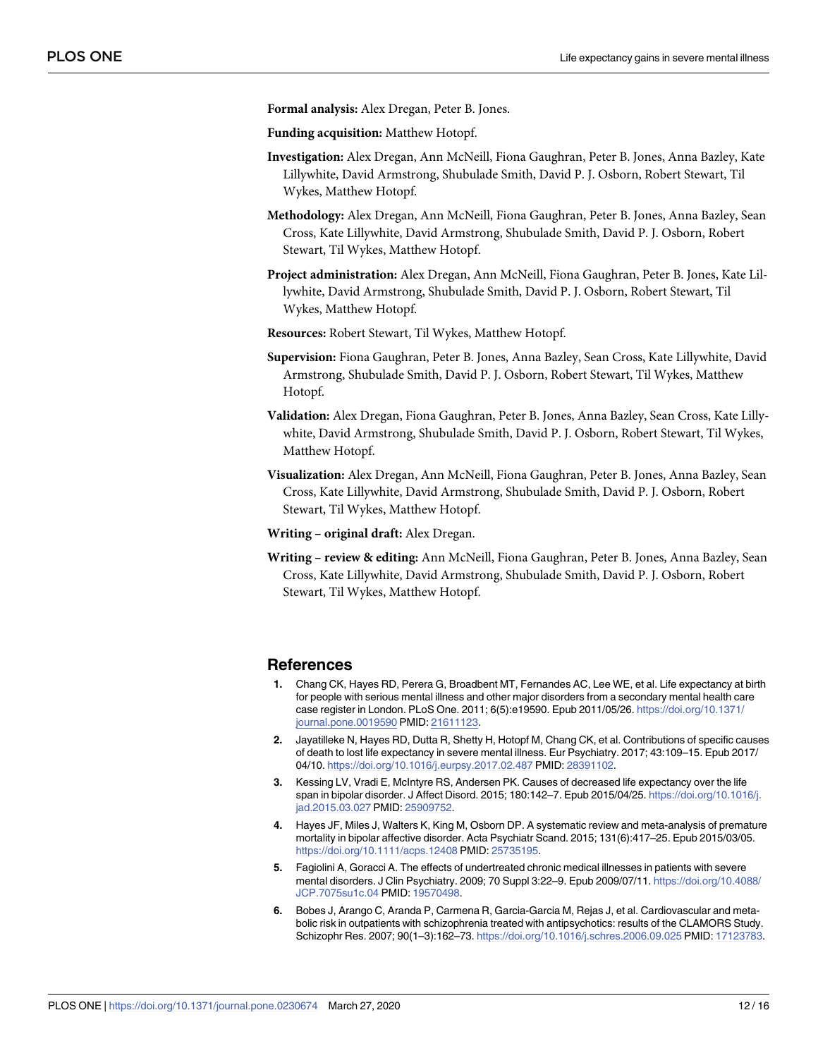<span id="page-11-0"></span>**Formal analysis:** Alex Dregan, Peter B. Jones.

**Funding acquisition:** Matthew Hotopf.

- **Investigation:** Alex Dregan, Ann McNeill, Fiona Gaughran, Peter B. Jones, Anna Bazley, Kate Lillywhite, David Armstrong, Shubulade Smith, David P. J. Osborn, Robert Stewart, Til Wykes, Matthew Hotopf.
- **Methodology:** Alex Dregan, Ann McNeill, Fiona Gaughran, Peter B. Jones, Anna Bazley, Sean Cross, Kate Lillywhite, David Armstrong, Shubulade Smith, David P. J. Osborn, Robert Stewart, Til Wykes, Matthew Hotopf.
- **Project administration:** Alex Dregan, Ann McNeill, Fiona Gaughran, Peter B. Jones, Kate Lillywhite, David Armstrong, Shubulade Smith, David P. J. Osborn, Robert Stewart, Til Wykes, Matthew Hotopf.
- **Resources:** Robert Stewart, Til Wykes, Matthew Hotopf.
- **Supervision:** Fiona Gaughran, Peter B. Jones, Anna Bazley, Sean Cross, Kate Lillywhite, David Armstrong, Shubulade Smith, David P. J. Osborn, Robert Stewart, Til Wykes, Matthew Hotopf.
- **Validation:** Alex Dregan, Fiona Gaughran, Peter B. Jones, Anna Bazley, Sean Cross, Kate Lillywhite, David Armstrong, Shubulade Smith, David P. J. Osborn, Robert Stewart, Til Wykes, Matthew Hotopf.
- **Visualization:** Alex Dregan, Ann McNeill, Fiona Gaughran, Peter B. Jones, Anna Bazley, Sean Cross, Kate Lillywhite, David Armstrong, Shubulade Smith, David P. J. Osborn, Robert Stewart, Til Wykes, Matthew Hotopf.
- **Writing – original draft:** Alex Dregan.
- **Writing – review & editing:** Ann McNeill, Fiona Gaughran, Peter B. Jones, Anna Bazley, Sean Cross, Kate Lillywhite, David Armstrong, Shubulade Smith, David P. J. Osborn, Robert Stewart, Til Wykes, Matthew Hotopf.

#### **References**

- **[1](#page-1-0).** Chang CK, Hayes RD, Perera G, Broadbent MT, Fernandes AC, Lee WE, et al. Life expectancy at birth for people with serious mental illness and other major disorders from a secondary mental health care case register in London. PLoS One. 2011; 6(5):e19590. Epub 2011/05/26. [https://doi.org/10.1371/](https://doi.org/10.1371/journal.pone.0019590) [journal.pone.0019590](https://doi.org/10.1371/journal.pone.0019590) PMID: [21611123.](http://www.ncbi.nlm.nih.gov/pubmed/21611123)
- **[2](#page-1-0).** Jayatilleke N, Hayes RD, Dutta R, Shetty H, Hotopf M, Chang CK, et al. Contributions of specific causes of death to lost life expectancy in severe mental illness. Eur Psychiatry. 2017; 43:109–15. Epub 2017/ 04/10. <https://doi.org/10.1016/j.eurpsy.2017.02.487> PMID: [28391102](http://www.ncbi.nlm.nih.gov/pubmed/28391102).
- **3.** Kessing LV, Vradi E, McIntyre RS, Andersen PK. Causes of decreased life expectancy over the life span in bipolar disorder. J Affect Disord. 2015; 180:142–7. Epub 2015/04/25. [https://doi.org/10.1016/j.](https://doi.org/10.1016/j.jad.2015.03.027) [jad.2015.03.027](https://doi.org/10.1016/j.jad.2015.03.027) PMID: [25909752](http://www.ncbi.nlm.nih.gov/pubmed/25909752).
- **[4](#page-1-0).** Hayes JF, Miles J, Walters K, King M, Osborn DP. A systematic review and meta-analysis of premature mortality in bipolar affective disorder. Acta Psychiatr Scand. 2015; 131(6):417–25. Epub 2015/03/05. <https://doi.org/10.1111/acps.12408> PMID: [25735195.](http://www.ncbi.nlm.nih.gov/pubmed/25735195)
- **[5](#page-1-0).** Fagiolini A, Goracci A. The effects of undertreated chronic medical illnesses in patients with severe mental disorders. J Clin Psychiatry. 2009; 70 Suppl 3:22–9. Epub 2009/07/11. [https://doi.org/10.4088/](https://doi.org/10.4088/JCP.7075su1c.04) [JCP.7075su1c.04](https://doi.org/10.4088/JCP.7075su1c.04) PMID: [19570498](http://www.ncbi.nlm.nih.gov/pubmed/19570498).
- **6.** Bobes J, Arango C, Aranda P, Carmena R, Garcia-Garcia M, Rejas J, et al. Cardiovascular and metabolic risk in outpatients with schizophrenia treated with antipsychotics: results of the CLAMORS Study. Schizophr Res. 2007; 90(1–3):162–73. <https://doi.org/10.1016/j.schres.2006.09.025> PMID: [17123783.](http://www.ncbi.nlm.nih.gov/pubmed/17123783)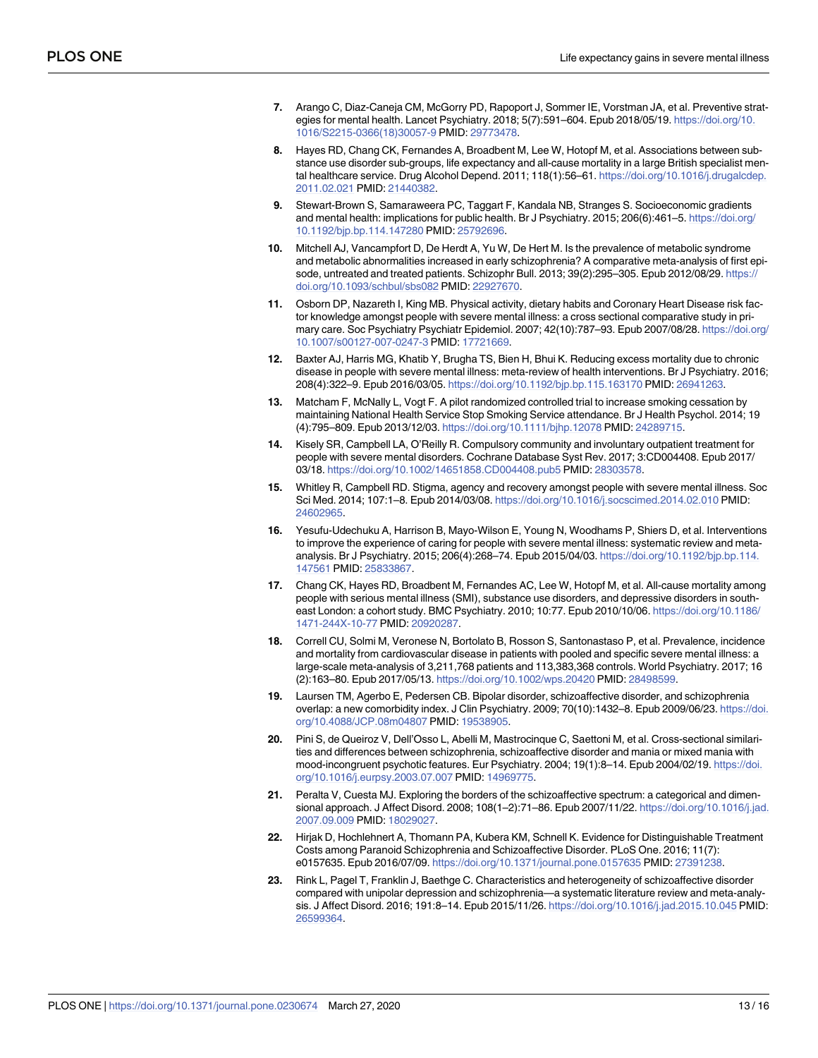- <span id="page-12-0"></span>**[7](#page-1-0).** Arango C, Diaz-Caneja CM, McGorry PD, Rapoport J, Sommer IE, Vorstman JA, et al. Preventive strategies for mental health. Lancet Psychiatry. 2018; 5(7):591–604. Epub 2018/05/19. [https://doi.org/10.](https://doi.org/10.1016/S2215-0366(18)30057-9) [1016/S2215-0366\(18\)30057-9](https://doi.org/10.1016/S2215-0366(18)30057-9) PMID: [29773478](http://www.ncbi.nlm.nih.gov/pubmed/29773478).
- **8.** Hayes RD, Chang CK, Fernandes A, Broadbent M, Lee W, Hotopf M, et al. Associations between substance use disorder sub-groups, life expectancy and all-cause mortality in a large British specialist mental healthcare service. Drug Alcohol Depend. 2011; 118(1):56–61. [https://doi.org/10.1016/j.drugalcdep.](https://doi.org/10.1016/j.drugalcdep.2011.02.021) [2011.02.021](https://doi.org/10.1016/j.drugalcdep.2011.02.021) PMID: [21440382.](http://www.ncbi.nlm.nih.gov/pubmed/21440382)
- **9.** Stewart-Brown S, Samaraweera PC, Taggart F, Kandala NB, Stranges S. Socioeconomic gradients and mental health: implications for public health. Br J Psychiatry. 2015; 206(6):461–5. [https://doi.org/](https://doi.org/10.1192/bjp.bp.114.147280) [10.1192/bjp.bp.114.147280](https://doi.org/10.1192/bjp.bp.114.147280) PMID: [25792696.](http://www.ncbi.nlm.nih.gov/pubmed/25792696)
- **10.** Mitchell AJ, Vancampfort D, De Herdt A, Yu W, De Hert M. Is the prevalence of metabolic syndrome and metabolic abnormalities increased in early schizophrenia? A comparative meta-analysis of first episode, untreated and treated patients. Schizophr Bull. 2013; 39(2):295–305. Epub 2012/08/29. [https://](https://doi.org/10.1093/schbul/sbs082) [doi.org/10.1093/schbul/sbs082](https://doi.org/10.1093/schbul/sbs082) PMID: [22927670.](http://www.ncbi.nlm.nih.gov/pubmed/22927670)
- **[11](#page-1-0).** Osborn DP, Nazareth I, King MB. Physical activity, dietary habits and Coronary Heart Disease risk factor knowledge amongst people with severe mental illness: a cross sectional comparative study in primary care. Soc Psychiatry Psychiatr Epidemiol. 2007; 42(10):787–93. Epub 2007/08/28. [https://doi.org/](https://doi.org/10.1007/s00127-007-0247-3) [10.1007/s00127-007-0247-3](https://doi.org/10.1007/s00127-007-0247-3) PMID: [17721669.](http://www.ncbi.nlm.nih.gov/pubmed/17721669)
- **[12](#page-1-0).** Baxter AJ, Harris MG, Khatib Y, Brugha TS, Bien H, Bhui K. Reducing excess mortality due to chronic disease in people with severe mental illness: meta-review of health interventions. Br J Psychiatry. 2016; 208(4):322–9. Epub 2016/03/05. <https://doi.org/10.1192/bjp.bp.115.163170> PMID: [26941263](http://www.ncbi.nlm.nih.gov/pubmed/26941263).
- **[13](#page-1-0).** Matcham F, McNally L, Vogt F. A pilot randomized controlled trial to increase smoking cessation by maintaining National Health Service Stop Smoking Service attendance. Br J Health Psychol. 2014; 19 (4):795–809. Epub 2013/12/03. <https://doi.org/10.1111/bjhp.12078> PMID: [24289715.](http://www.ncbi.nlm.nih.gov/pubmed/24289715)
- **[14](#page-2-0).** Kisely SR, Campbell LA, O'Reilly R. Compulsory community and involuntary outpatient treatment for people with severe mental disorders. Cochrane Database Syst Rev. 2017; 3:CD004408. Epub 2017/ 03/18. <https://doi.org/10.1002/14651858.CD004408.pub5> PMID: [28303578](http://www.ncbi.nlm.nih.gov/pubmed/28303578).
- **15.** Whitley R, Campbell RD. Stigma, agency and recovery amongst people with severe mental illness. Soc Sci Med. 2014; 107:1–8. Epub 2014/03/08. <https://doi.org/10.1016/j.socscimed.2014.02.010> PMID: [24602965](http://www.ncbi.nlm.nih.gov/pubmed/24602965).
- **[16](#page-2-0).** Yesufu-Udechuku A, Harrison B, Mayo-Wilson E, Young N, Woodhams P, Shiers D, et al. Interventions to improve the experience of caring for people with severe mental illness: systematic review and metaanalysis. Br J Psychiatry. 2015; 206(4):268–74. Epub 2015/04/03. [https://doi.org/10.1192/bjp.bp.114.](https://doi.org/10.1192/bjp.bp.114.147561) [147561](https://doi.org/10.1192/bjp.bp.114.147561) PMID: [25833867](http://www.ncbi.nlm.nih.gov/pubmed/25833867).
- **[17](#page-2-0).** Chang CK, Hayes RD, Broadbent M, Fernandes AC, Lee W, Hotopf M, et al. All-cause mortality among people with serious mental illness (SMI), substance use disorders, and depressive disorders in southeast London: a cohort study. BMC Psychiatry. 2010; 10:77. Epub 2010/10/06. [https://doi.org/10.1186/](https://doi.org/10.1186/1471-244X-10-77) [1471-244X-10-77](https://doi.org/10.1186/1471-244X-10-77) PMID: [20920287](http://www.ncbi.nlm.nih.gov/pubmed/20920287).
- **[18](#page-2-0).** Correll CU, Solmi M, Veronese N, Bortolato B, Rosson S, Santonastaso P, et al. Prevalence, incidence and mortality from cardiovascular disease in patients with pooled and specific severe mental illness: a large-scale meta-analysis of 3,211,768 patients and 113,383,368 controls. World Psychiatry. 2017; 16 (2):163–80. Epub 2017/05/13. <https://doi.org/10.1002/wps.20420> PMID: [28498599.](http://www.ncbi.nlm.nih.gov/pubmed/28498599)
- **[19](#page-2-0).** Laursen TM, Agerbo E, Pedersen CB. Bipolar disorder, schizoaffective disorder, and schizophrenia overlap: a new comorbidity index. J Clin Psychiatry. 2009; 70(10):1432–8. Epub 2009/06/23. [https://doi.](https://doi.org/10.4088/JCP.08m04807) [org/10.4088/JCP.08m04807](https://doi.org/10.4088/JCP.08m04807) PMID: [19538905](http://www.ncbi.nlm.nih.gov/pubmed/19538905).
- **[20](#page-2-0).** Pini S, de Queiroz V, Dell'Osso L, Abelli M, Mastrocinque C, Saettoni M, et al. Cross-sectional similarities and differences between schizophrenia, schizoaffective disorder and mania or mixed mania with mood-incongruent psychotic features. Eur Psychiatry. 2004; 19(1):8–14. Epub 2004/02/19. [https://doi.](https://doi.org/10.1016/j.eurpsy.2003.07.007) [org/10.1016/j.eurpsy.2003.07.007](https://doi.org/10.1016/j.eurpsy.2003.07.007) PMID: [14969775](http://www.ncbi.nlm.nih.gov/pubmed/14969775).
- **21.** Peralta V, Cuesta MJ. Exploring the borders of the schizoaffective spectrum: a categorical and dimensional approach. J Affect Disord. 2008; 108(1–2):71–86. Epub 2007/11/22. [https://doi.org/10.1016/j.jad.](https://doi.org/10.1016/j.jad.2007.09.009) [2007.09.009](https://doi.org/10.1016/j.jad.2007.09.009) PMID: [18029027.](http://www.ncbi.nlm.nih.gov/pubmed/18029027)
- **22.** Hirjak D, Hochlehnert A, Thomann PA, Kubera KM, Schnell K. Evidence for Distinguishable Treatment Costs among Paranoid Schizophrenia and Schizoaffective Disorder. PLoS One. 2016; 11(7): e0157635. Epub 2016/07/09. <https://doi.org/10.1371/journal.pone.0157635> PMID: [27391238.](http://www.ncbi.nlm.nih.gov/pubmed/27391238)
- **[23](#page-2-0).** Rink L, Pagel T, Franklin J, Baethge C. Characteristics and heterogeneity of schizoaffective disorder compared with unipolar depression and schizophrenia—a systematic literature review and meta-analysis. J Affect Disord. 2016; 191:8–14. Epub 2015/11/26. <https://doi.org/10.1016/j.jad.2015.10.045> PMID: [26599364](http://www.ncbi.nlm.nih.gov/pubmed/26599364).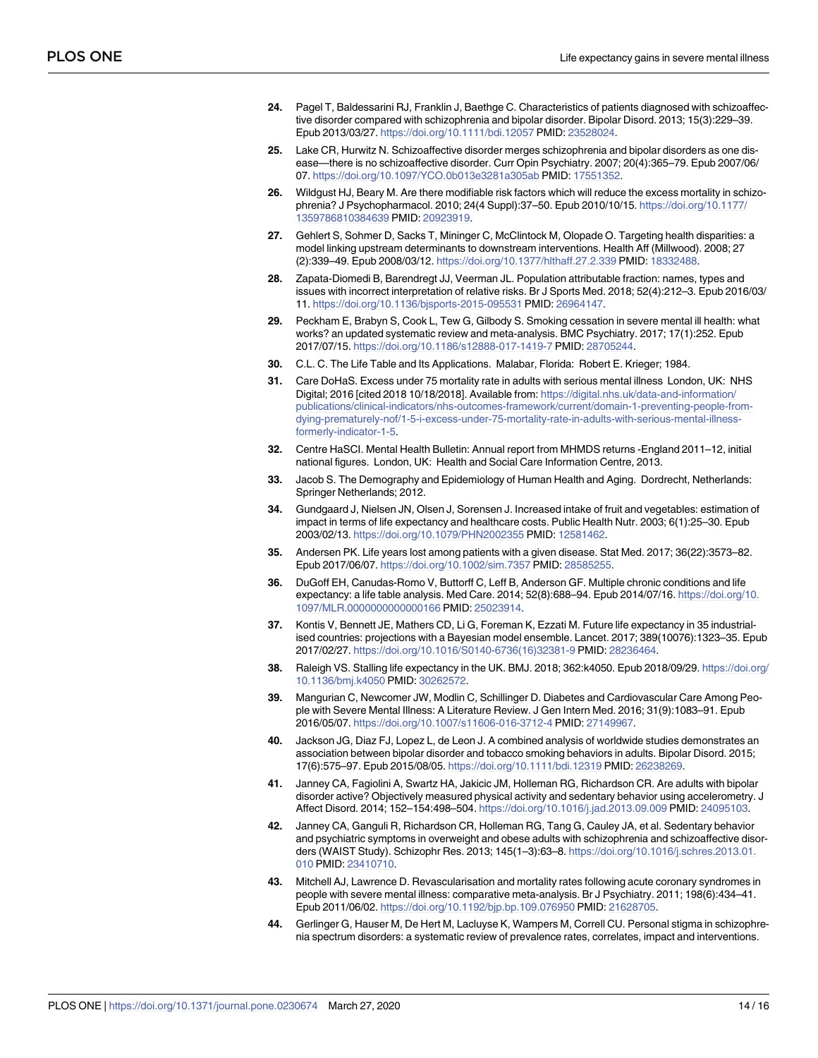- <span id="page-13-0"></span>**[24](#page-2-0).** Pagel T, Baldessarini RJ, Franklin J, Baethge C. Characteristics of patients diagnosed with schizoaffective disorder compared with schizophrenia and bipolar disorder. Bipolar Disord. 2013; 15(3):229–39. Epub 2013/03/27. <https://doi.org/10.1111/bdi.12057> PMID: [23528024](http://www.ncbi.nlm.nih.gov/pubmed/23528024).
- **[25](#page-2-0).** Lake CR, Hurwitz N. Schizoaffective disorder merges schizophrenia and bipolar disorders as one disease—there is no schizoaffective disorder. Curr Opin Psychiatry. 2007; 20(4):365–79. Epub 2007/06/ 07. <https://doi.org/10.1097/YCO.0b013e3281a305ab> PMID: [17551352](http://www.ncbi.nlm.nih.gov/pubmed/17551352).
- **[26](#page-2-0).** Wildgust HJ, Beary M. Are there modifiable risk factors which will reduce the excess mortality in schizophrenia? J Psychopharmacol. 2010; 24(4 Suppl):37–50. Epub 2010/10/15. [https://doi.org/10.1177/](https://doi.org/10.1177/1359786810384639) [1359786810384639](https://doi.org/10.1177/1359786810384639) PMID: [20923919.](http://www.ncbi.nlm.nih.gov/pubmed/20923919)
- **[27](#page-2-0).** Gehlert S, Sohmer D, Sacks T, Mininger C, McClintock M, Olopade O. Targeting health disparities: a model linking upstream determinants to downstream interventions. Health Aff (Millwood). 2008; 27 (2):339–49. Epub 2008/03/12. <https://doi.org/10.1377/hlthaff.27.2.339> PMID: [18332488.](http://www.ncbi.nlm.nih.gov/pubmed/18332488)
- **[28](#page-3-0).** Zapata-Diomedi B, Barendregt JJ, Veerman JL. Population attributable fraction: names, types and issues with incorrect interpretation of relative risks. Br J Sports Med. 2018; 52(4):212–3. Epub 2016/03/ 11. <https://doi.org/10.1136/bjsports-2015-095531> PMID: [26964147](http://www.ncbi.nlm.nih.gov/pubmed/26964147).
- **[29](#page-3-0).** Peckham E, Brabyn S, Cook L, Tew G, Gilbody S. Smoking cessation in severe mental ill health: what works? an updated systematic review and meta-analysis. BMC Psychiatry. 2017; 17(1):252. Epub 2017/07/15. <https://doi.org/10.1186/s12888-017-1419-7> PMID: [28705244](http://www.ncbi.nlm.nih.gov/pubmed/28705244).
- **[30](#page-3-0).** C.L. C. The Life Table and Its Applications. Malabar, Florida: Robert E. Krieger; 1984.
- **[31](#page-3-0).** Care DoHaS. Excess under 75 mortality rate in adults with serious mental illness London, UK: NHS Digital; 2016 [cited 2018 10/18/2018]. Available from: [https://digital.nhs.uk/data-and-information/](https://digital.nhs.uk/data-and-information/publications/clinical-indicators/nhs-outcomes-framework/current/domain-1-preventing-people-from-dying-prematurely-nof/1-5-i-excess-under-75-mortality-rate-in-adults-with-serious-mental-illness-formerly-indicator-1-5) [publications/clinical-indicators/nhs-outcomes-framework/current/domain-1-preventing-people-from](https://digital.nhs.uk/data-and-information/publications/clinical-indicators/nhs-outcomes-framework/current/domain-1-preventing-people-from-dying-prematurely-nof/1-5-i-excess-under-75-mortality-rate-in-adults-with-serious-mental-illness-formerly-indicator-1-5)[dying-prematurely-nof/1-5-i-excess-under-75-mortality-rate-in-adults-with-serious-mental-illness](https://digital.nhs.uk/data-and-information/publications/clinical-indicators/nhs-outcomes-framework/current/domain-1-preventing-people-from-dying-prematurely-nof/1-5-i-excess-under-75-mortality-rate-in-adults-with-serious-mental-illness-formerly-indicator-1-5)[formerly-indicator-1-5](https://digital.nhs.uk/data-and-information/publications/clinical-indicators/nhs-outcomes-framework/current/domain-1-preventing-people-from-dying-prematurely-nof/1-5-i-excess-under-75-mortality-rate-in-adults-with-serious-mental-illness-formerly-indicator-1-5).
- **[32](#page-3-0).** Centre HaSCI. Mental Health Bulletin: Annual report from MHMDS returns -England 2011–12, initial national figures. London, UK: Health and Social Care Information Centre, 2013.
- **[33](#page-3-0).** Jacob S. The Demography and Epidemiology of Human Health and Aging. Dordrecht, Netherlands: Springer Netherlands; 2012.
- **[34](#page-3-0).** Gundgaard J, Nielsen JN, Olsen J, Sorensen J. Increased intake of fruit and vegetables: estimation of impact in terms of life expectancy and healthcare costs. Public Health Nutr. 2003; 6(1):25–30. Epub 2003/02/13. <https://doi.org/10.1079/PHN2002355> PMID: [12581462.](http://www.ncbi.nlm.nih.gov/pubmed/12581462)
- **[35](#page-3-0).** Andersen PK. Life years lost among patients with a given disease. Stat Med. 2017; 36(22):3573–82. Epub 2017/06/07. <https://doi.org/10.1002/sim.7357> PMID: [28585255.](http://www.ncbi.nlm.nih.gov/pubmed/28585255)
- **[36](#page-4-0).** DuGoff EH, Canudas-Romo V, Buttorff C, Leff B, Anderson GF. Multiple chronic conditions and life expectancy: a life table analysis. Med Care. 2014; 52(8):688–94. Epub 2014/07/16. [https://doi.org/10.](https://doi.org/10.1097/MLR.0000000000000166) [1097/MLR.0000000000000166](https://doi.org/10.1097/MLR.0000000000000166) PMID: [25023914](http://www.ncbi.nlm.nih.gov/pubmed/25023914).
- **[37](#page-4-0).** Kontis V, Bennett JE, Mathers CD, Li G, Foreman K, Ezzati M. Future life expectancy in 35 industrialised countries: projections with a Bayesian model ensemble. Lancet. 2017; 389(10076):1323–35. Epub 2017/02/27. [https://doi.org/10.1016/S0140-6736\(16\)32381-9](https://doi.org/10.1016/S0140-6736(16)32381-9) PMID: [28236464](http://www.ncbi.nlm.nih.gov/pubmed/28236464).
- **[38](#page-4-0).** Raleigh VS. Stalling life expectancy in the UK. BMJ. 2018; 362:k4050. Epub 2018/09/29. [https://doi.org/](https://doi.org/10.1136/bmj.k4050) [10.1136/bmj.k4050](https://doi.org/10.1136/bmj.k4050) PMID: [30262572.](http://www.ncbi.nlm.nih.gov/pubmed/30262572)
- **[39](#page-4-0).** Mangurian C, Newcomer JW, Modlin C, Schillinger D. Diabetes and Cardiovascular Care Among People with Severe Mental Illness: A Literature Review. J Gen Intern Med. 2016; 31(9):1083–91. Epub 2016/05/07. <https://doi.org/10.1007/s11606-016-3712-4> PMID: [27149967](http://www.ncbi.nlm.nih.gov/pubmed/27149967).
- **[40](#page-4-0).** Jackson JG, Diaz FJ, Lopez L, de Leon J. A combined analysis of worldwide studies demonstrates an association between bipolar disorder and tobacco smoking behaviors in adults. Bipolar Disord. 2015; 17(6):575–97. Epub 2015/08/05. <https://doi.org/10.1111/bdi.12319> PMID: [26238269.](http://www.ncbi.nlm.nih.gov/pubmed/26238269)
- **[41](#page-4-0).** Janney CA, Fagiolini A, Swartz HA, Jakicic JM, Holleman RG, Richardson CR. Are adults with bipolar disorder active? Objectively measured physical activity and sedentary behavior using accelerometry. J Affect Disord. 2014; 152–154:498–504. <https://doi.org/10.1016/j.jad.2013.09.009> PMID: [24095103.](http://www.ncbi.nlm.nih.gov/pubmed/24095103)
- **[42](#page-4-0).** Janney CA, Ganguli R, Richardson CR, Holleman RG, Tang G, Cauley JA, et al. Sedentary behavior and psychiatric symptoms in overweight and obese adults with schizophrenia and schizoaffective disorders (WAIST Study). Schizophr Res. 2013; 145(1–3):63–8. [https://doi.org/10.1016/j.schres.2013.01.](https://doi.org/10.1016/j.schres.2013.01.010) [010](https://doi.org/10.1016/j.schres.2013.01.010) PMID: [23410710.](http://www.ncbi.nlm.nih.gov/pubmed/23410710)
- **[43](#page-4-0).** Mitchell AJ, Lawrence D. Revascularisation and mortality rates following acute coronary syndromes in people with severe mental illness: comparative meta-analysis. Br J Psychiatry. 2011; 198(6):434–41. Epub 2011/06/02. <https://doi.org/10.1192/bjp.bp.109.076950> PMID: [21628705.](http://www.ncbi.nlm.nih.gov/pubmed/21628705)
- **[44](#page-4-0).** Gerlinger G, Hauser M, De Hert M, Lacluyse K, Wampers M, Correll CU. Personal stigma in schizophrenia spectrum disorders: a systematic review of prevalence rates, correlates, impact and interventions.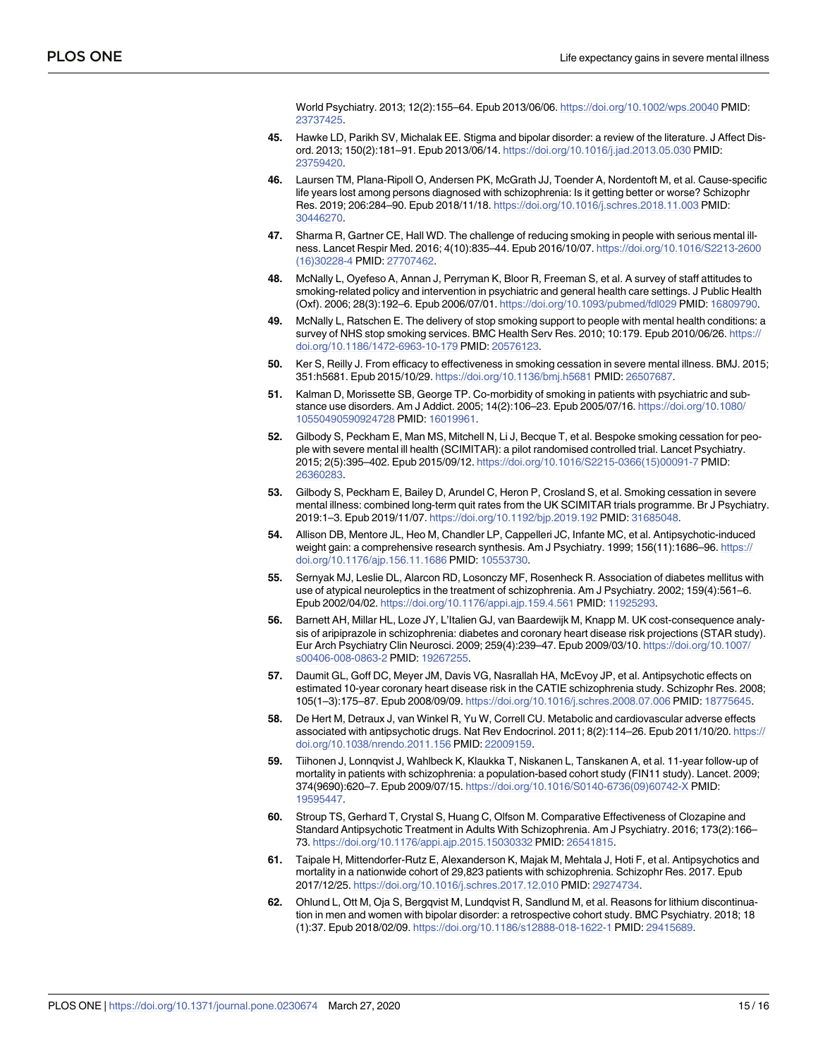World Psychiatry. 2013; 12(2):155–64. Epub 2013/06/06. <https://doi.org/10.1002/wps.20040> PMID: [23737425](http://www.ncbi.nlm.nih.gov/pubmed/23737425).

- <span id="page-14-0"></span>**[45](#page-4-0).** Hawke LD, Parikh SV, Michalak EE. Stigma and bipolar disorder: a review of the literature. J Affect Disord. 2013; 150(2):181–91. Epub 2013/06/14. <https://doi.org/10.1016/j.jad.2013.05.030> PMID: [23759420](http://www.ncbi.nlm.nih.gov/pubmed/23759420).
- **[46](#page-8-0).** Laursen TM, Plana-Ripoll O, Andersen PK, McGrath JJ, Toender A, Nordentoft M, et al. Cause-specific life years lost among persons diagnosed with schizophrenia: Is it getting better or worse? Schizophr Res. 2019; 206:284–90. Epub 2018/11/18. <https://doi.org/10.1016/j.schres.2018.11.003> PMID: [30446270](http://www.ncbi.nlm.nih.gov/pubmed/30446270).
- **[47](#page-8-0).** Sharma R, Gartner CE, Hall WD. The challenge of reducing smoking in people with serious mental illness. Lancet Respir Med. 2016; 4(10):835–44. Epub 2016/10/07. [https://doi.org/10.1016/S2213-2600](https://doi.org/10.1016/S2213-2600(16)30228-4) [\(16\)30228-4](https://doi.org/10.1016/S2213-2600(16)30228-4) PMID: [27707462.](http://www.ncbi.nlm.nih.gov/pubmed/27707462)
- **[48](#page-8-0).** McNally L, Oyefeso A, Annan J, Perryman K, Bloor R, Freeman S, et al. A survey of staff attitudes to smoking-related policy and intervention in psychiatric and general health care settings. J Public Health (Oxf). 2006; 28(3):192–6. Epub 2006/07/01. <https://doi.org/10.1093/pubmed/fdl029> PMID: [16809790](http://www.ncbi.nlm.nih.gov/pubmed/16809790).
- **[49](#page-8-0).** McNally L, Ratschen E. The delivery of stop smoking support to people with mental health conditions: a survey of NHS stop smoking services. BMC Health Serv Res. 2010; 10:179. Epub 2010/06/26. [https://](https://doi.org/10.1186/1472-6963-10-179) [doi.org/10.1186/1472-6963-10-179](https://doi.org/10.1186/1472-6963-10-179) PMID: [20576123](http://www.ncbi.nlm.nih.gov/pubmed/20576123).
- **[50](#page-8-0).** Ker S, Reilly J. From efficacy to effectiveness in smoking cessation in severe mental illness. BMJ. 2015; 351:h5681. Epub 2015/10/29. <https://doi.org/10.1136/bmj.h5681> PMID: [26507687](http://www.ncbi.nlm.nih.gov/pubmed/26507687).
- **[51](#page-8-0).** Kalman D, Morissette SB, George TP. Co-morbidity of smoking in patients with psychiatric and substance use disorders. Am J Addict. 2005; 14(2):106–23. Epub 2005/07/16. [https://doi.org/10.1080/](https://doi.org/10.1080/10550490590924728) [10550490590924728](https://doi.org/10.1080/10550490590924728) PMID: [16019961](http://www.ncbi.nlm.nih.gov/pubmed/16019961).
- **[52](#page-8-0).** Gilbody S, Peckham E, Man MS, Mitchell N, Li J, Becque T, et al. Bespoke smoking cessation for people with severe mental ill health (SCIMITAR): a pilot randomised controlled trial. Lancet Psychiatry. 2015; 2(5):395–402. Epub 2015/09/12. [https://doi.org/10.1016/S2215-0366\(15\)00091-7](https://doi.org/10.1016/S2215-0366(15)00091-7) PMID: [26360283](http://www.ncbi.nlm.nih.gov/pubmed/26360283).
- **[53](#page-8-0).** Gilbody S, Peckham E, Bailey D, Arundel C, Heron P, Crosland S, et al. Smoking cessation in severe mental illness: combined long-term quit rates from the UK SCIMITAR trials programme. Br J Psychiatry. 2019:1–3. Epub 2019/11/07. <https://doi.org/10.1192/bjp.2019.192> PMID: [31685048.](http://www.ncbi.nlm.nih.gov/pubmed/31685048)
- **[54](#page-8-0).** Allison DB, Mentore JL, Heo M, Chandler LP, Cappelleri JC, Infante MC, et al. Antipsychotic-induced weight gain: a comprehensive research synthesis. Am J Psychiatry. 1999; 156(11):1686–96. [https://](https://doi.org/10.1176/ajp.156.11.1686) [doi.org/10.1176/ajp.156.11.1686](https://doi.org/10.1176/ajp.156.11.1686) PMID: [10553730](http://www.ncbi.nlm.nih.gov/pubmed/10553730).
- **55.** Sernyak MJ, Leslie DL, Alarcon RD, Losonczy MF, Rosenheck R. Association of diabetes mellitus with use of atypical neuroleptics in the treatment of schizophrenia. Am J Psychiatry. 2002; 159(4):561–6. Epub 2002/04/02. <https://doi.org/10.1176/appi.ajp.159.4.561> PMID: [11925293](http://www.ncbi.nlm.nih.gov/pubmed/11925293).
- **56.** Barnett AH, Millar HL, Loze JY, L'Italien GJ, van Baardewijk M, Knapp M. UK cost-consequence analysis of aripiprazole in schizophrenia: diabetes and coronary heart disease risk projections (STAR study). Eur Arch Psychiatry Clin Neurosci. 2009; 259(4):239–47. Epub 2009/03/10. [https://doi.org/10.1007/](https://doi.org/10.1007/s00406-008-0863-2) [s00406-008-0863-2](https://doi.org/10.1007/s00406-008-0863-2) PMID: [19267255](http://www.ncbi.nlm.nih.gov/pubmed/19267255).
- **57.** Daumit GL, Goff DC, Meyer JM, Davis VG, Nasrallah HA, McEvoy JP, et al. Antipsychotic effects on estimated 10-year coronary heart disease risk in the CATIE schizophrenia study. Schizophr Res. 2008; 105(1–3):175–87. Epub 2008/09/09. <https://doi.org/10.1016/j.schres.2008.07.006> PMID: [18775645](http://www.ncbi.nlm.nih.gov/pubmed/18775645).
- **[58](#page-8-0).** De Hert M, Detraux J, van Winkel R, Yu W, Correll CU. Metabolic and cardiovascular adverse effects associated with antipsychotic drugs. Nat Rev Endocrinol. 2011; 8(2):114–26. Epub 2011/10/20. [https://](https://doi.org/10.1038/nrendo.2011.156) [doi.org/10.1038/nrendo.2011.156](https://doi.org/10.1038/nrendo.2011.156) PMID: [22009159](http://www.ncbi.nlm.nih.gov/pubmed/22009159).
- **[59](#page-8-0).** Tiihonen J, Lonnqvist J, Wahlbeck K, Klaukka T, Niskanen L, Tanskanen A, et al. 11-year follow-up of mortality in patients with schizophrenia: a population-based cohort study (FIN11 study). Lancet. 2009; 374(9690):620–7. Epub 2009/07/15. [https://doi.org/10.1016/S0140-6736\(09\)60742-X](https://doi.org/10.1016/S0140-6736(09)60742-X) PMID: [19595447](http://www.ncbi.nlm.nih.gov/pubmed/19595447).
- **60.** Stroup TS, Gerhard T, Crystal S, Huang C, Olfson M. Comparative Effectiveness of Clozapine and Standard Antipsychotic Treatment in Adults With Schizophrenia. Am J Psychiatry. 2016; 173(2):166– 73. <https://doi.org/10.1176/appi.ajp.2015.15030332> PMID: [26541815](http://www.ncbi.nlm.nih.gov/pubmed/26541815).
- **[61](#page-8-0).** Taipale H, Mittendorfer-Rutz E, Alexanderson K, Majak M, Mehtala J, Hoti F, et al. Antipsychotics and mortality in a nationwide cohort of 29,823 patients with schizophrenia. Schizophr Res. 2017. Epub 2017/12/25. <https://doi.org/10.1016/j.schres.2017.12.010> PMID: [29274734.](http://www.ncbi.nlm.nih.gov/pubmed/29274734)
- **[62](#page-8-0).** Ohlund L, Ott M, Oja S, Bergqvist M, Lundqvist R, Sandlund M, et al. Reasons for lithium discontinuation in men and women with bipolar disorder: a retrospective cohort study. BMC Psychiatry. 2018; 18 (1):37. Epub 2018/02/09. <https://doi.org/10.1186/s12888-018-1622-1> PMID: [29415689.](http://www.ncbi.nlm.nih.gov/pubmed/29415689)